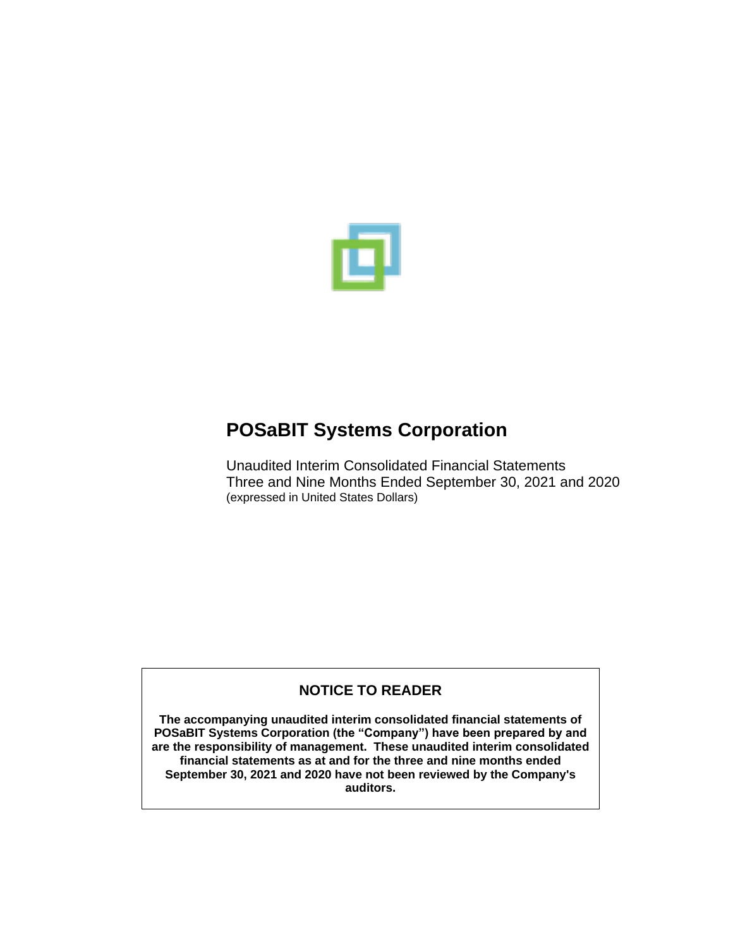

Unaudited Interim Consolidated Financial Statements Three and Nine Months Ended September 30, 2021 and 2020 (expressed in United States Dollars)

# **NOTICE TO READER**

**The accompanying unaudited interim consolidated financial statements of POSaBIT Systems Corporation (the "Company") have been prepared by and are the responsibility of management. These unaudited interim consolidated financial statements as at and for the three and nine months ended September 30, 2021 and 2020 have not been reviewed by the Company's auditors.**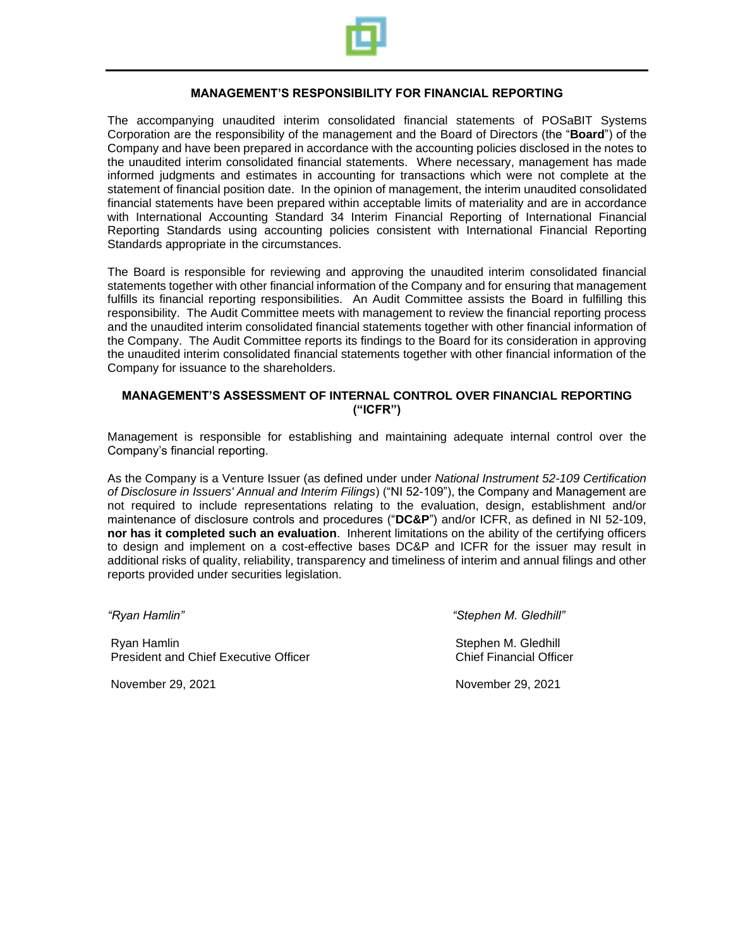

#### **MANAGEMENT'S RESPONSIBILITY FOR FINANCIAL REPORTING**

The accompanying unaudited interim consolidated financial statements of POSaBIT Systems Corporation are the responsibility of the management and the Board of Directors (the "**Board**") of the Company and have been prepared in accordance with the accounting policies disclosed in the notes to the unaudited interim consolidated financial statements. Where necessary, management has made informed judgments and estimates in accounting for transactions which were not complete at the statement of financial position date. In the opinion of management, the interim unaudited consolidated financial statements have been prepared within acceptable limits of materiality and are in accordance with International Accounting Standard 34 Interim Financial Reporting of International Financial Reporting Standards using accounting policies consistent with International Financial Reporting Standards appropriate in the circumstances.

The Board is responsible for reviewing and approving the unaudited interim consolidated financial statements together with other financial information of the Company and for ensuring that management fulfills its financial reporting responsibilities. An Audit Committee assists the Board in fulfilling this responsibility. The Audit Committee meets with management to review the financial reporting process and the unaudited interim consolidated financial statements together with other financial information of the Company. The Audit Committee reports its findings to the Board for its consideration in approving the unaudited interim consolidated financial statements together with other financial information of the Company for issuance to the shareholders.

#### **MANAGEMENT'S ASSESSMENT OF INTERNAL CONTROL OVER FINANCIAL REPORTING ("ICFR")**

Management is responsible for establishing and maintaining adequate internal control over the Company's financial reporting.

As the Company is a Venture Issuer (as defined under under *National Instrument 52-109 Certification of Disclosure in Issuers' Annual and Interim Filings*) ("NI 52-109"), the Company and Management are not required to include representations relating to the evaluation, design, establishment and/or maintenance of disclosure controls and procedures ("**DC&P**") and/or ICFR, as defined in NI 52-109, **nor has it completed such an evaluation**. Inherent limitations on the ability of the certifying officers to design and implement on a cost-effective bases DC&P and ICFR for the issuer may result in additional risks of quality, reliability, transparency and timeliness of interim and annual filings and other reports provided under securities legislation.

*"Ryan Hamlin" "Stephen M. Gledhill"*

Ryan Hamlin Stephen M. Gledhill President and Chief Executive Officer Chief Financial Officer Chief Financial Officer

November 29, 2021 November 29, 2021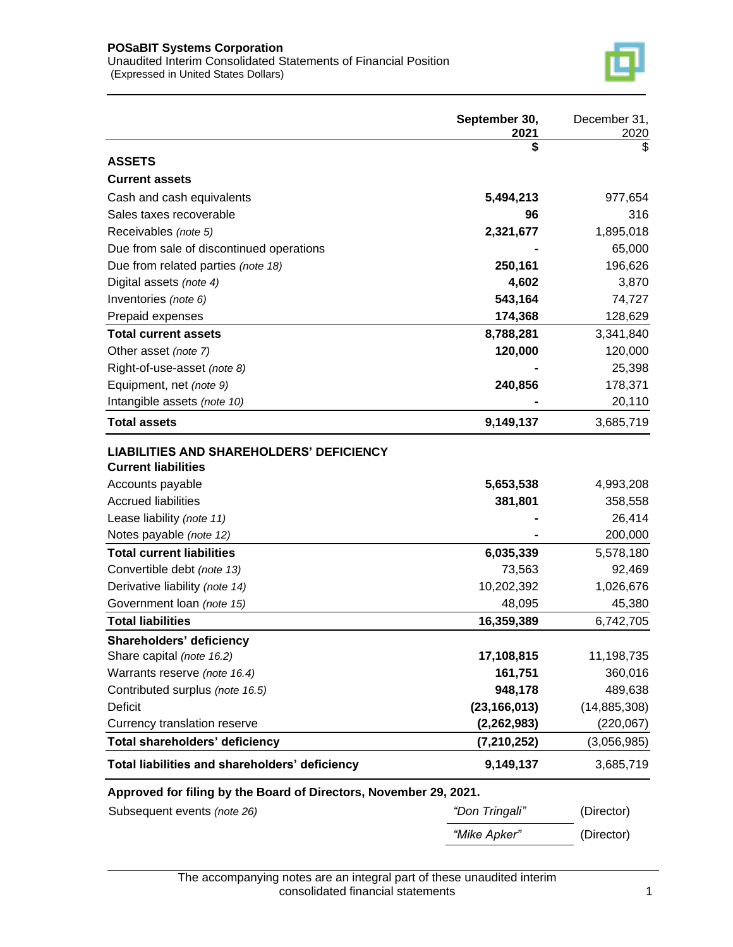

|                                                                   | September 30,<br>2021 | December 31,<br>2020 |
|-------------------------------------------------------------------|-----------------------|----------------------|
|                                                                   | \$                    | \$                   |
| <b>ASSETS</b>                                                     |                       |                      |
| <b>Current assets</b>                                             |                       |                      |
| Cash and cash equivalents                                         | 5,494,213             | 977,654              |
| Sales taxes recoverable                                           | 96                    | 316                  |
| Receivables (note 5)                                              | 2,321,677             | 1,895,018            |
| Due from sale of discontinued operations                          |                       | 65,000               |
| Due from related parties (note 18)                                | 250,161               | 196,626              |
| Digital assets (note 4)                                           | 4,602                 | 3,870                |
| Inventories (note 6)                                              | 543,164               | 74,727               |
| Prepaid expenses                                                  | 174,368               | 128,629              |
| <b>Total current assets</b>                                       | 8,788,281             | 3,341,840            |
| Other asset (note 7)                                              | 120,000               | 120,000              |
| Right-of-use-asset (note 8)                                       |                       | 25,398               |
| Equipment, net (note 9)                                           | 240,856               | 178,371              |
| Intangible assets (note 10)                                       |                       | 20,110               |
| <b>Total assets</b>                                               | 9,149,137             | 3,685,719            |
| <b>LIABILITIES AND SHAREHOLDERS' DEFICIENCY</b>                   |                       |                      |
| <b>Current liabilities</b>                                        |                       |                      |
| Accounts payable                                                  | 5,653,538             | 4,993,208            |
| <b>Accrued liabilities</b>                                        | 381,801               | 358,558              |
| Lease liability (note 11)                                         |                       | 26,414               |
| Notes payable (note 12)                                           |                       | 200,000              |
| <b>Total current liabilities</b>                                  | 6,035,339             | 5,578,180            |
| Convertible debt (note 13)                                        | 73,563                | 92,469               |
| Derivative liability (note 14)                                    | 10,202,392            | 1,026,676            |
| Government loan (note 15)                                         | 48,095                | 45,380               |
| <b>Total liabilities</b>                                          | 16,359,389            | 6,742,705            |
| Shareholders' deficiency                                          |                       |                      |
| Share capital (note 16.2)                                         | 17,108,815            | 11,198,735           |
| Warrants reserve (note 16.4)                                      | 161,751               | 360,016              |
| Contributed surplus (note 16.5)                                   | 948,178               | 489,638              |
| <b>Deficit</b>                                                    | (23, 166, 013)        | (14, 885, 308)       |
| Currency translation reserve                                      | (2, 262, 983)         | (220, 067)           |
| Total shareholders' deficiency                                    | (7, 210, 252)         | (3,056,985)          |
| Total liabilities and shareholders' deficiency                    | 9,149,137             | 3,685,719            |
| Approved for filing by the Board of Directors, November 29, 2021. |                       |                      |
| Subsequent events (note 26)                                       | "Don Tringali"        | (Director)           |

*"Mike Apker"* (Director)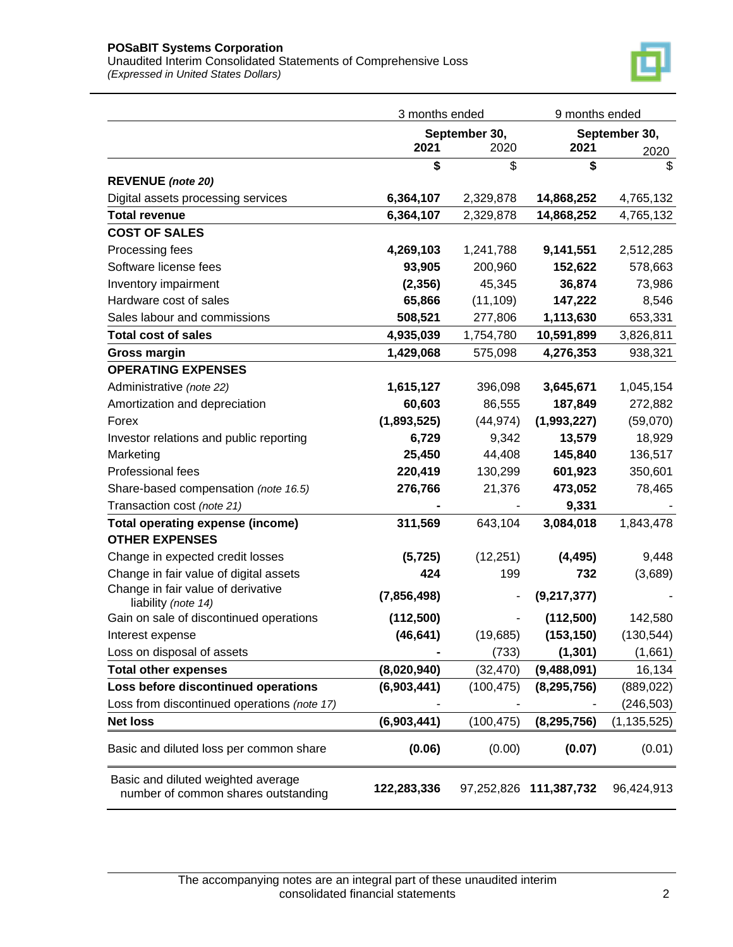Unaudited Interim Consolidated Statements of Comprehensive Loss *(Expressed in United States Dollars)* 



|                                                                           | 3 months ended |            | 9 months ended         |               |
|---------------------------------------------------------------------------|----------------|------------|------------------------|---------------|
|                                                                           | September 30,  |            |                        | September 30, |
|                                                                           | 2021           | 2020       | 2021                   | 2020          |
|                                                                           | \$             | \$         | \$                     | \$            |
| <b>REVENUE</b> (note 20)                                                  |                |            |                        |               |
| Digital assets processing services                                        | 6,364,107      | 2,329,878  | 14,868,252             | 4,765,132     |
| <b>Total revenue</b>                                                      | 6,364,107      | 2,329,878  | 14,868,252             | 4,765,132     |
| <b>COST OF SALES</b>                                                      |                |            |                        |               |
| Processing fees                                                           | 4,269,103      | 1,241,788  | 9,141,551              | 2,512,285     |
| Software license fees                                                     | 93,905         | 200,960    | 152,622                | 578,663       |
| Inventory impairment                                                      | (2, 356)       | 45,345     | 36,874                 | 73,986        |
| Hardware cost of sales                                                    | 65,866         | (11, 109)  | 147,222                | 8,546         |
| Sales labour and commissions                                              | 508,521        | 277,806    | 1,113,630              | 653,331       |
| <b>Total cost of sales</b>                                                | 4,935,039      | 1,754,780  | 10,591,899             | 3,826,811     |
| <b>Gross margin</b>                                                       | 1,429,068      | 575,098    | 4,276,353              | 938,321       |
| <b>OPERATING EXPENSES</b>                                                 |                |            |                        |               |
| Administrative (note 22)                                                  | 1,615,127      | 396,098    | 3,645,671              | 1,045,154     |
| Amortization and depreciation                                             | 60,603         | 86,555     | 187,849                | 272,882       |
| Forex                                                                     | (1,893,525)    | (44, 974)  | (1,993,227)            | (59,070)      |
| Investor relations and public reporting                                   | 6,729          | 9,342      | 13,579                 | 18,929        |
| Marketing                                                                 | 25,450         | 44,408     | 145,840                | 136,517       |
| Professional fees                                                         | 220,419        | 130,299    | 601,923                | 350,601       |
| Share-based compensation (note 16.5)                                      | 276,766        | 21,376     | 473,052                | 78,465        |
| Transaction cost (note 21)                                                |                |            | 9,331                  |               |
| <b>Total operating expense (income)</b>                                   | 311,569        | 643,104    | 3,084,018              | 1,843,478     |
| <b>OTHER EXPENSES</b>                                                     |                |            |                        |               |
| Change in expected credit losses                                          | (5, 725)       | (12, 251)  | (4, 495)               | 9,448         |
| Change in fair value of digital assets                                    | 424            | 199        | 732                    | (3,689)       |
| Change in fair value of derivative                                        | (7,856,498)    |            | (9,217,377)            |               |
| liability (note 14)                                                       |                |            |                        |               |
| Gain on sale of discontinued operations                                   | (112,500)      |            | (112,500)              | 142,580       |
| Interest expense                                                          | (46, 641)      | (19,685)   | (153, 150)             | (130, 544)    |
| Loss on disposal of assets                                                |                | (733)      | (1, 301)               | (1,661)       |
| <b>Total other expenses</b>                                               | (8,020,940)    | (32, 470)  | (9,488,091)            | 16,134        |
| Loss before discontinued operations                                       | (6,903,441)    | (100, 475) | (8, 295, 756)          | (889, 022)    |
| Loss from discontinued operations (note 17)                               |                |            |                        | (246, 503)    |
| <b>Net loss</b>                                                           | (6,903,441)    | (100, 475) | (8, 295, 756)          | (1, 135, 525) |
| Basic and diluted loss per common share                                   | (0.06)         | (0.00)     | (0.07)                 | (0.01)        |
| Basic and diluted weighted average<br>number of common shares outstanding | 122,283,336    |            | 97,252,826 111,387,732 | 96,424,913    |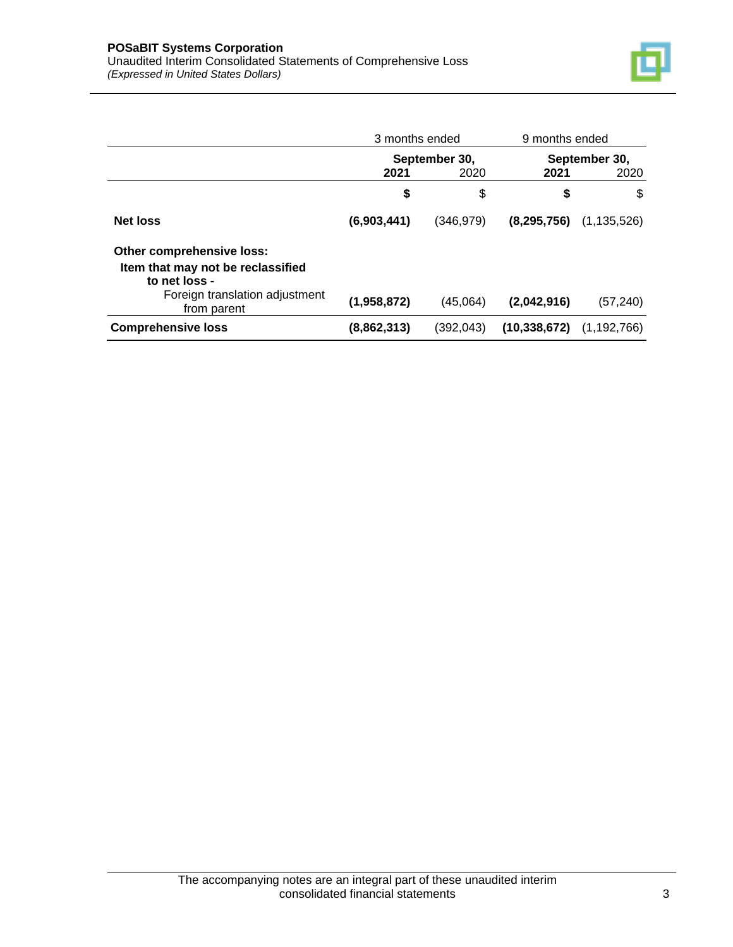

|                                                                                                                                  | 3 months ended                |            | 9 months ended |                       |  |
|----------------------------------------------------------------------------------------------------------------------------------|-------------------------------|------------|----------------|-----------------------|--|
|                                                                                                                                  | September 30,<br>2021<br>2020 |            | 2021           | September 30,<br>2020 |  |
|                                                                                                                                  | \$                            | \$         | \$             | \$                    |  |
| <b>Net loss</b>                                                                                                                  | (6,903,441)                   | (346, 979) | (8, 295, 756)  | (1, 135, 526)         |  |
| Other comprehensive loss:<br>Item that may not be reclassified<br>to net loss -<br>Foreign translation adjustment<br>from parent | (1,958,872)                   | (45,064)   | (2,042,916)    | (57,240)              |  |
| <b>Comprehensive loss</b>                                                                                                        | (8,862,313)                   | (392, 043) | (10, 338, 672) | (1, 192, 766)         |  |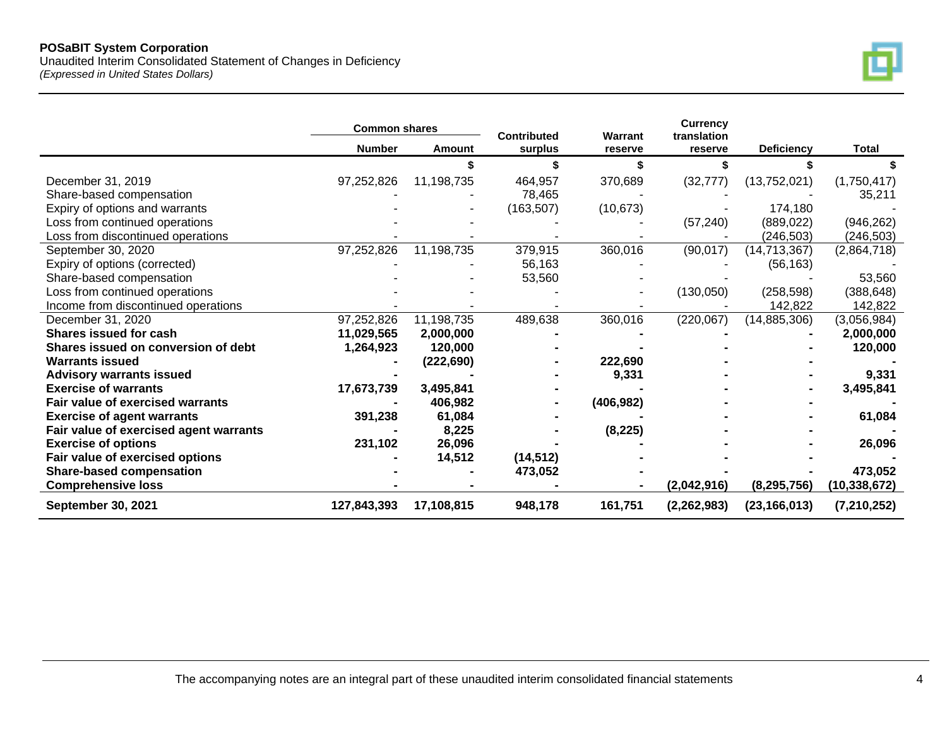Unaudited Interim Consolidated Statement of Changes in Deficiency *(Expressed in United States Dollars)*



|                                         | <b>Common shares</b> |            | <b>Contributed</b> | Warrant    | <b>Currency</b><br>translation |                   |               |
|-----------------------------------------|----------------------|------------|--------------------|------------|--------------------------------|-------------------|---------------|
|                                         | <b>Number</b>        | Amount     | surplus            | reserve    | reserve                        | <b>Deficiency</b> | <b>Total</b>  |
|                                         |                      |            |                    |            |                                |                   |               |
| December 31, 2019                       | 97,252,826           | 11,198,735 | 464,957            | 370,689    | (32, 777)                      | (13,752,021)      | (1,750,417)   |
| Share-based compensation                |                      |            | 78,465             |            |                                |                   | 35,211        |
| Expiry of options and warrants          |                      |            | (163, 507)         | (10, 673)  |                                | 174,180           |               |
| Loss from continued operations          |                      |            |                    |            | (57, 240)                      | (889, 022)        | (946, 262)    |
| Loss from discontinued operations       |                      |            |                    |            |                                | (246, 503)        | (246, 503)    |
| September 30, 2020                      | 97,252,826           | 11,198,735 | 379,915            | 360,016    | (90, 017)                      | (14, 713, 367)    | (2,864,718)   |
| Expiry of options (corrected)           |                      |            | 56,163             |            |                                | (56, 163)         |               |
| Share-based compensation                |                      |            | 53,560             |            |                                |                   | 53,560        |
| Loss from continued operations          |                      |            |                    |            | (130,050)                      | (258, 598)        | (388, 648)    |
| Income from discontinued operations     |                      |            |                    |            |                                | 142,822           | 142,822       |
| December 31, 2020                       | 97,252,826           | 11,198,735 | 489,638            | 360,016    | (220,067)                      | (14, 885, 306)    | (3,056,984)   |
| Shares issued for cash                  | 11,029,565           | 2,000,000  |                    |            |                                |                   | 2,000,000     |
| Shares issued on conversion of debt     | 1,264,923            | 120,000    |                    |            |                                |                   | 120,000       |
| <b>Warrants issued</b>                  |                      | (222, 690) |                    | 222,690    |                                |                   |               |
| <b>Advisory warrants issued</b>         |                      |            |                    | 9,331      |                                |                   | 9,331         |
| <b>Exercise of warrants</b>             | 17,673,739           | 3,495,841  |                    |            |                                |                   | 3,495,841     |
| <b>Fair value of exercised warrants</b> |                      | 406,982    |                    | (406, 982) |                                |                   |               |
| <b>Exercise of agent warrants</b>       | 391,238              | 61,084     |                    |            |                                |                   | 61,084        |
| Fair value of exercised agent warrants  |                      | 8,225      |                    | (8, 225)   |                                |                   |               |
| <b>Exercise of options</b>              | 231,102              | 26,096     |                    |            |                                |                   | 26,096        |
| Fair value of exercised options         |                      | 14,512     | (14, 512)          |            |                                |                   |               |
| <b>Share-based compensation</b>         |                      |            | 473,052            |            |                                |                   | 473,052       |
| <b>Comprehensive loss</b>               |                      |            |                    |            | (2,042,916)                    | (8, 295, 756)     | (10,338,672)  |
| <b>September 30, 2021</b>               | 127,843,393          | 17,108,815 | 948,178            | 161,751    | (2, 262, 983)                  | (23, 166, 013)    | (7, 210, 252) |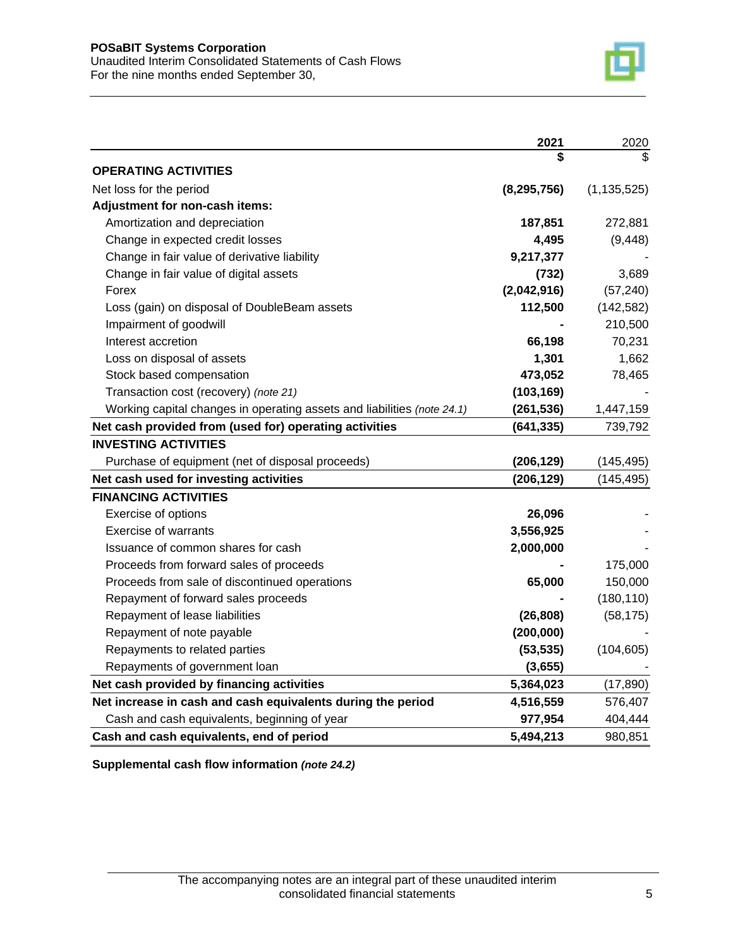

|                                                                         | 2021          | 2020          |
|-------------------------------------------------------------------------|---------------|---------------|
|                                                                         | \$            |               |
| <b>OPERATING ACTIVITIES</b>                                             |               |               |
| Net loss for the period                                                 | (8, 295, 756) | (1, 135, 525) |
| Adjustment for non-cash items:                                          |               |               |
| Amortization and depreciation                                           | 187,851       | 272,881       |
| Change in expected credit losses                                        | 4,495         | (9, 448)      |
| Change in fair value of derivative liability                            | 9,217,377     |               |
| Change in fair value of digital assets                                  | (732)         | 3,689         |
| Forex                                                                   | (2,042,916)   | (57, 240)     |
| Loss (gain) on disposal of DoubleBeam assets                            | 112,500       | (142, 582)    |
| Impairment of goodwill                                                  |               | 210,500       |
| Interest accretion                                                      | 66,198        | 70,231        |
| Loss on disposal of assets                                              | 1,301         | 1,662         |
| Stock based compensation                                                | 473,052       | 78,465        |
| Transaction cost (recovery) (note 21)                                   | (103, 169)    |               |
| Working capital changes in operating assets and liabilities (note 24.1) | (261, 536)    | 1,447,159     |
| Net cash provided from (used for) operating activities                  | (641, 335)    | 739,792       |
| <b>INVESTING ACTIVITIES</b>                                             |               |               |
| Purchase of equipment (net of disposal proceeds)                        | (206, 129)    | (145, 495)    |
| Net cash used for investing activities                                  | (206, 129)    | (145, 495)    |
| <b>FINANCING ACTIVITIES</b>                                             |               |               |
| Exercise of options                                                     | 26,096        |               |
| <b>Exercise of warrants</b>                                             | 3,556,925     |               |
| Issuance of common shares for cash                                      | 2,000,000     |               |
| Proceeds from forward sales of proceeds                                 |               | 175,000       |
| Proceeds from sale of discontinued operations                           | 65,000        | 150,000       |
| Repayment of forward sales proceeds                                     |               | (180, 110)    |
| Repayment of lease liabilities                                          | (26, 808)     | (58, 175)     |
| Repayment of note payable                                               | (200, 000)    |               |
| Repayments to related parties                                           | (53, 535)     | (104, 605)    |
| Repayments of government loan                                           | (3,655)       |               |
| Net cash provided by financing activities                               | 5,364,023     | (17, 890)     |
| Net increase in cash and cash equivalents during the period             | 4,516,559     | 576,407       |
| Cash and cash equivalents, beginning of year                            | 977,954       | 404,444       |
| Cash and cash equivalents, end of period                                | 5,494,213     | 980,851       |

**Supplemental cash flow information** *(note 24.2)*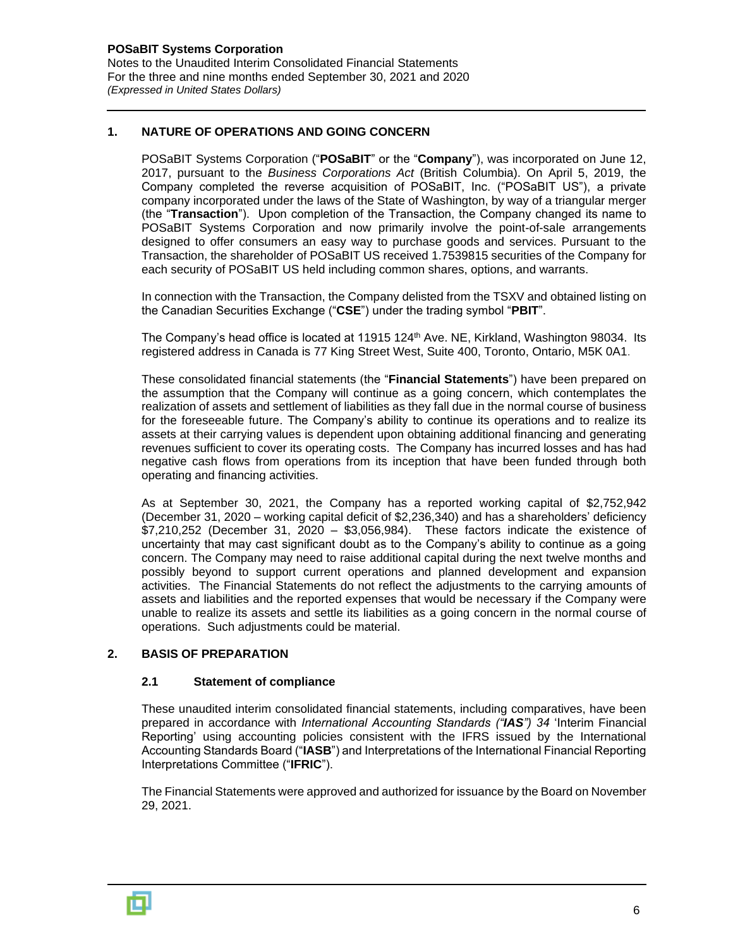For the three and nine months ended September 30, 2021 and 2020 *(Expressed in United States Dollars)*

### **1. NATURE OF OPERATIONS AND GOING CONCERN**

POSaBIT Systems Corporation ("**POSaBIT**" or the "**Company**"), was incorporated on June 12, 2017, pursuant to the *Business Corporations Act* (British Columbia). On April 5, 2019, the Company completed the reverse acquisition of POSaBIT, Inc. ("POSaBIT US"), a private company incorporated under the laws of the State of Washington, by way of a triangular merger (the "**Transaction**"). Upon completion of the Transaction, the Company changed its name to POSaBIT Systems Corporation and now primarily involve the point-of-sale arrangements designed to offer consumers an easy way to purchase goods and services. Pursuant to the Transaction, the shareholder of POSaBIT US received 1.7539815 securities of the Company for each security of POSaBIT US held including common shares, options, and warrants.

In connection with the Transaction, the Company delisted from the TSXV and obtained listing on the Canadian Securities Exchange ("**CSE**") under the trading symbol "**PBIT**".

The Company's head office is located at 11915 124<sup>th</sup> Ave. NE, Kirkland, Washington 98034. Its registered address in Canada is 77 King Street West, Suite 400, Toronto, Ontario, M5K 0A1.

These consolidated financial statements (the "**Financial Statements**") have been prepared on the assumption that the Company will continue as a going concern, which contemplates the realization of assets and settlement of liabilities as they fall due in the normal course of business for the foreseeable future. The Company's ability to continue its operations and to realize its assets at their carrying values is dependent upon obtaining additional financing and generating revenues sufficient to cover its operating costs. The Company has incurred losses and has had negative cash flows from operations from its inception that have been funded through both operating and financing activities.

As at September 30, 2021, the Company has a reported working capital of \$2,752,942 (December 31, 2020 – working capital deficit of \$2,236,340) and has a shareholders' deficiency \$7,210,252 (December 31, 2020 – \$3,056,984). These factors indicate the existence of uncertainty that may cast significant doubt as to the Company's ability to continue as a going concern. The Company may need to raise additional capital during the next twelve months and possibly beyond to support current operations and planned development and expansion activities. The Financial Statements do not reflect the adjustments to the carrying amounts of assets and liabilities and the reported expenses that would be necessary if the Company were unable to realize its assets and settle its liabilities as a going concern in the normal course of operations. Such adjustments could be material.

### **2. BASIS OF PREPARATION**

#### **2.1 Statement of compliance**

These unaudited interim consolidated financial statements, including comparatives, have been prepared in accordance with *International Accounting Standards ("IAS") 34* 'Interim Financial Reporting' using accounting policies consistent with the IFRS issued by the International Accounting Standards Board ("**IASB**") and Interpretations of the International Financial Reporting Interpretations Committee ("**IFRIC**").

The Financial Statements were approved and authorized for issuance by the Board on November 29, 2021.

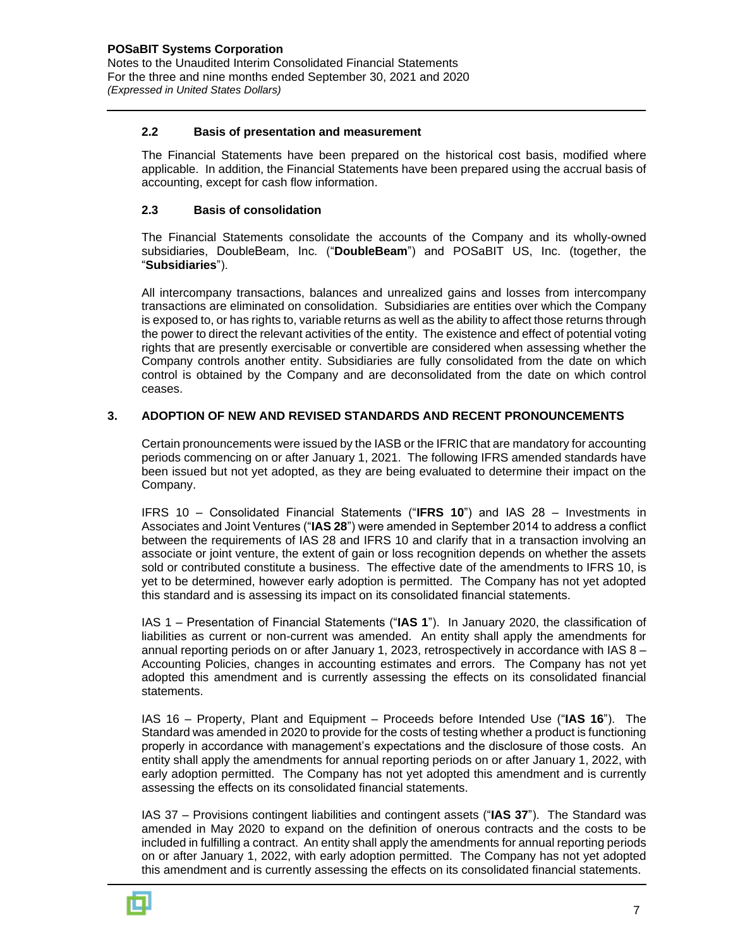#### **2.2 Basis of presentation and measurement**

The Financial Statements have been prepared on the historical cost basis, modified where applicable. In addition, the Financial Statements have been prepared using the accrual basis of accounting, except for cash flow information.

#### **2.3 Basis of consolidation**

The Financial Statements consolidate the accounts of the Company and its wholly-owned subsidiaries, DoubleBeam, Inc. ("**DoubleBeam**") and POSaBIT US, Inc. (together, the "**Subsidiaries**").

All intercompany transactions, balances and unrealized gains and losses from intercompany transactions are eliminated on consolidation. Subsidiaries are entities over which the Company is exposed to, or has rights to, variable returns as well as the ability to affect those returns through the power to direct the relevant activities of the entity. The existence and effect of potential voting rights that are presently exercisable or convertible are considered when assessing whether the Company controls another entity. Subsidiaries are fully consolidated from the date on which control is obtained by the Company and are deconsolidated from the date on which control ceases.

#### **3. ADOPTION OF NEW AND REVISED STANDARDS AND RECENT PRONOUNCEMENTS**

Certain pronouncements were issued by the IASB or the IFRIC that are mandatory for accounting periods commencing on or after January 1, 2021. The following IFRS amended standards have been issued but not yet adopted, as they are being evaluated to determine their impact on the Company.

IFRS 10 – Consolidated Financial Statements ("**IFRS 10**") and IAS 28 – Investments in Associates and Joint Ventures ("**IAS 28**") were amended in September 2014 to address a conflict between the requirements of IAS 28 and IFRS 10 and clarify that in a transaction involving an associate or joint venture, the extent of gain or loss recognition depends on whether the assets sold or contributed constitute a business. The effective date of the amendments to IFRS 10, is yet to be determined, however early adoption is permitted. The Company has not yet adopted this standard and is assessing its impact on its consolidated financial statements.

IAS 1 – Presentation of Financial Statements ("**IAS 1**"). In January 2020, the classification of liabilities as current or non-current was amended. An entity shall apply the amendments for annual reporting periods on or after January 1, 2023, retrospectively in accordance with IAS  $8 -$ Accounting Policies, changes in accounting estimates and errors. The Company has not yet adopted this amendment and is currently assessing the effects on its consolidated financial statements.

IAS 16 – Property, Plant and Equipment – Proceeds before Intended Use ("**IAS 16**"). The Standard was amended in 2020 to provide for the costs of testing whether a product is functioning properly in accordance with management's expectations and the disclosure of those costs. An entity shall apply the amendments for annual reporting periods on or after January 1, 2022, with early adoption permitted. The Company has not yet adopted this amendment and is currently assessing the effects on its consolidated financial statements.

IAS 37 – Provisions contingent liabilities and contingent assets ("**IAS 37**"). The Standard was amended in May 2020 to expand on the definition of onerous contracts and the costs to be included in fulfilling a contract. An entity shall apply the amendments for annual reporting periods on or after January 1, 2022, with early adoption permitted. The Company has not yet adopted this amendment and is currently assessing the effects on its consolidated financial statements.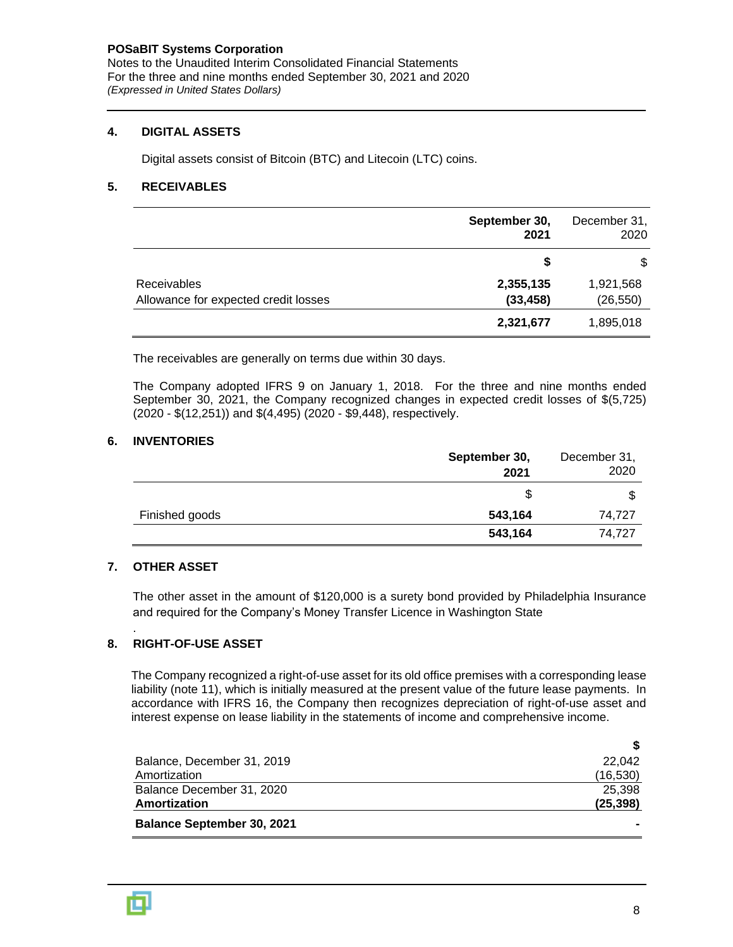Notes to the Unaudited Interim Consolidated Financial Statements For the three and nine months ended September 30, 2021 and 2020 *(Expressed in United States Dollars)*

#### **4. DIGITAL ASSETS**

Digital assets consist of Bitcoin (BTC) and Litecoin (LTC) coins.

#### **5. RECEIVABLES**

|                                      | September 30,<br>2021 | December 31,<br>2020 |
|--------------------------------------|-----------------------|----------------------|
|                                      | \$                    | S                    |
| Receivables                          | 2,355,135             | 1,921,568            |
| Allowance for expected credit losses | (33, 458)             | (26, 550)            |
|                                      | 2,321,677             | 1,895,018            |

The receivables are generally on terms due within 30 days.

The Company adopted IFRS 9 on January 1, 2018. For the three and nine months ended September 30, 2021, the Company recognized changes in expected credit losses of \$(5,725) (2020 - \$(12,251)) and \$(4,495) (2020 - \$9,448), respectively.

#### **6. INVENTORIES**

|                | September 30,<br>2021 | December 31,<br>2020 |
|----------------|-----------------------|----------------------|
|                | S                     |                      |
| Finished goods | 543,164               | 74,727               |
|                | 543,164               | 74.727               |

#### **7. OTHER ASSET**

.

The other asset in the amount of \$120,000 is a surety bond provided by Philadelphia Insurance and required for the Company's Money Transfer Licence in Washington State

#### **8. RIGHT-OF-USE ASSET**

The Company recognized a right-of-use asset for its old office premises with a corresponding lease liability (note 11), which is initially measured at the present value of the future lease payments. In accordance with IFRS 16, the Company then recognizes depreciation of right-of-use asset and interest expense on lease liability in the statements of income and comprehensive income.

| Balance, December 31, 2019        | 22.042    |
|-----------------------------------|-----------|
| Amortization                      | (16, 530) |
| Balance December 31, 2020         | 25.398    |
| Amortization                      | (25, 398) |
| <b>Balance September 30, 2021</b> |           |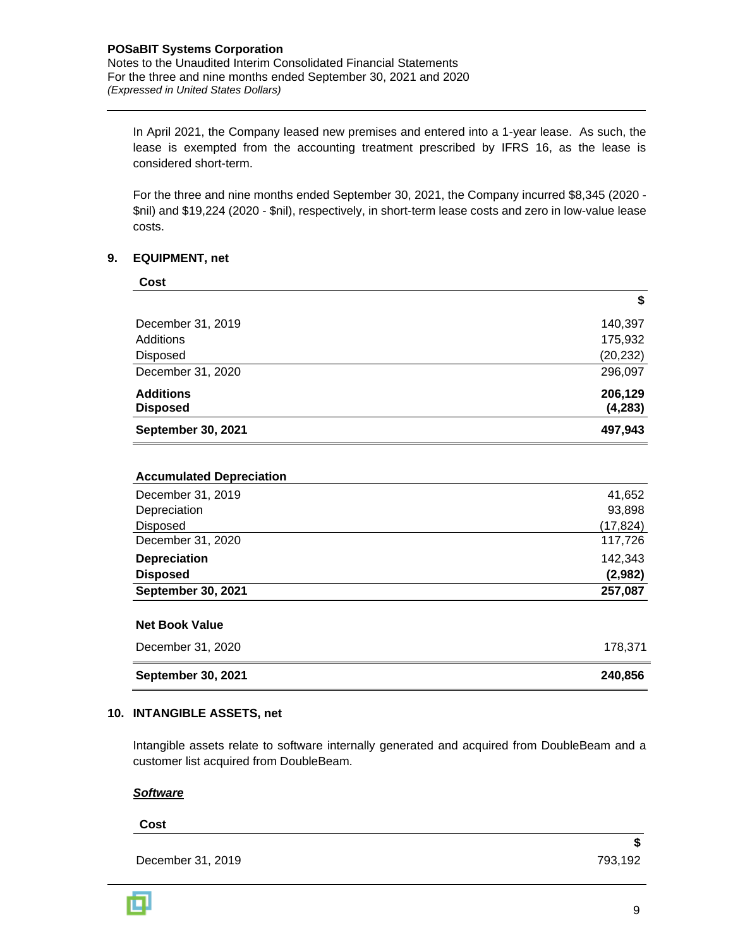In April 2021, the Company leased new premises and entered into a 1-year lease. As such, the lease is exempted from the accounting treatment prescribed by IFRS 16, as the lease is considered short-term.

For the three and nine months ended September 30, 2021, the Company incurred \$8,345 (2020 - \$nil) and \$19,224 (2020 - \$nil), respectively, in short-term lease costs and zero in low-value lease costs.

#### **9. EQUIPMENT, net**

| Cost                                |                     |
|-------------------------------------|---------------------|
|                                     | \$                  |
| December 31, 2019                   | 140,397             |
| Additions                           | 175,932             |
| Disposed                            | (20, 232)           |
| December 31, 2020                   | 296,097             |
| <b>Additions</b><br><b>Disposed</b> | 206,129<br>(4, 283) |
| September 30, 2021                  | 497,943             |

#### **Accumulated Depreciation**

| December 31, 2019         | 41,652    |
|---------------------------|-----------|
| Depreciation              | 93,898    |
| <b>Disposed</b>           | (17, 824) |
| December 31, 2020         | 117,726   |
| <b>Depreciation</b>       | 142,343   |
| <b>Disposed</b>           | (2,982)   |
| <b>September 30, 2021</b> | 257,087   |
|                           |           |

# **Net Book Value**

| December 31, 2020         | 178.371 |
|---------------------------|---------|
| <b>September 30, 2021</b> | 240.856 |

#### **10. INTANGIBLE ASSETS, net**

Intangible assets relate to software internally generated and acquired from DoubleBeam and a customer list acquired from DoubleBeam.

#### *Software*

#### **Cost**

December 31, 2019 793,192

**\$**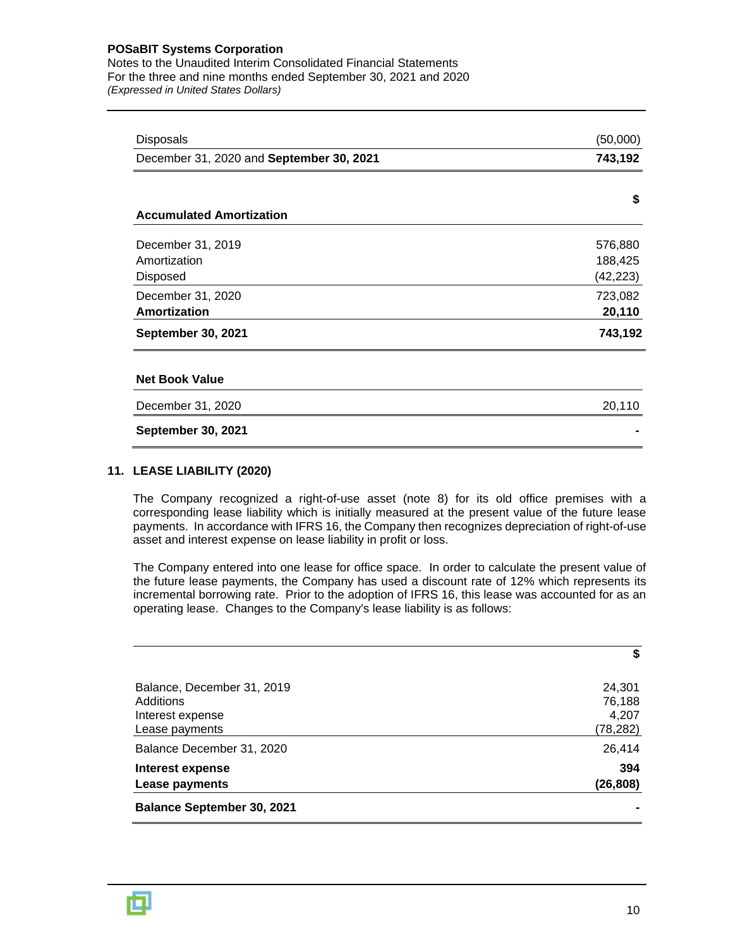Notes to the Unaudited Interim Consolidated Financial Statements For the three and nine months ended September 30, 2021 and 2020 *(Expressed in United States Dollars)*

| <b>Disposals</b>                         | (50,000)  |
|------------------------------------------|-----------|
| December 31, 2020 and September 30, 2021 | 743,192   |
|                                          |           |
| <b>Accumulated Amortization</b>          | \$        |
| December 31, 2019                        | 576,880   |
| Amortization                             | 188,425   |
| <b>Disposed</b>                          | (42, 223) |
| December 31, 2020                        | 723,082   |
| Amortization                             | 20,110    |
| <b>September 30, 2021</b>                | 743,192   |
| <b>Net Book Value</b>                    |           |
| December 31, 2020                        | 20,110    |
| <b>September 30, 2021</b>                |           |

#### **11. LEASE LIABILITY (2020)**

The Company recognized a right-of-use asset (note 8) for its old office premises with a corresponding lease liability which is initially measured at the present value of the future lease payments. In accordance with IFRS 16, the Company then recognizes depreciation of right-of-use asset and interest expense on lease liability in profit or loss.

The Company entered into one lease for office space. In order to calculate the present value of the future lease payments, the Company has used a discount rate of 12% which represents its incremental borrowing rate. Prior to the adoption of IFRS 16, this lease was accounted for as an operating lease. Changes to the Company's lease liability is as follows:

|                                                                               | \$                                    |
|-------------------------------------------------------------------------------|---------------------------------------|
| Balance, December 31, 2019<br>Additions<br>Interest expense<br>Lease payments | 24,301<br>76,188<br>4,207<br>(78,282) |
| Balance December 31, 2020                                                     | 26,414                                |
| Interest expense<br>Lease payments                                            | 394<br>(26,808)                       |
| <b>Balance September 30, 2021</b>                                             |                                       |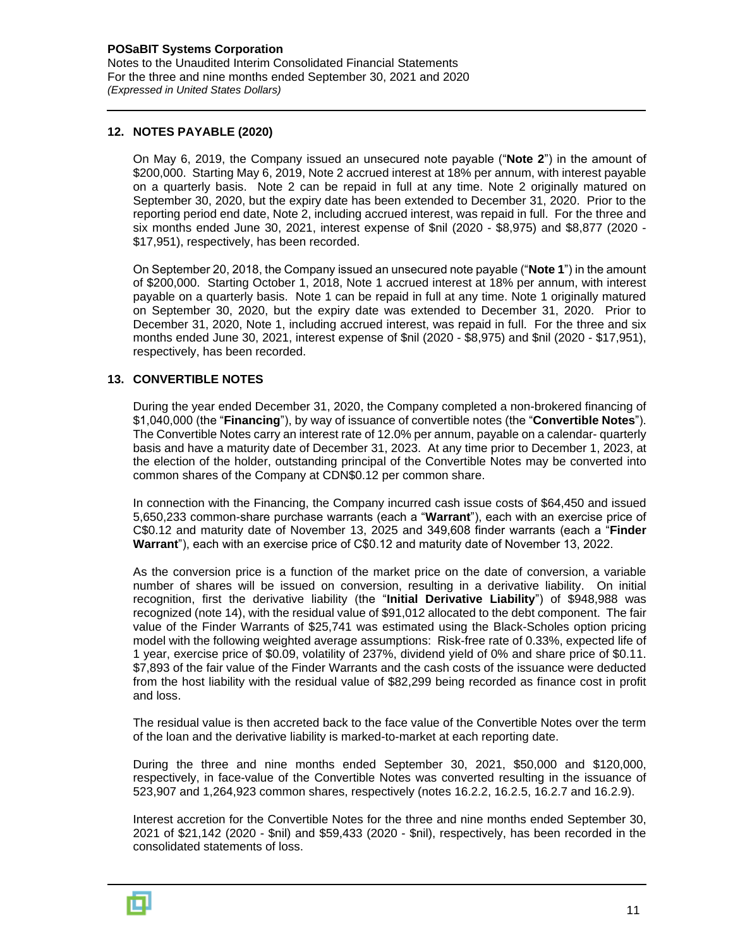#### **12. NOTES PAYABLE (2020)**

On May 6, 2019, the Company issued an unsecured note payable ("**Note 2**") in the amount of \$200,000. Starting May 6, 2019, Note 2 accrued interest at 18% per annum, with interest payable on a quarterly basis. Note 2 can be repaid in full at any time. Note 2 originally matured on September 30, 2020, but the expiry date has been extended to December 31, 2020. Prior to the reporting period end date, Note 2, including accrued interest, was repaid in full. For the three and six months ended June 30, 2021, interest expense of \$nil (2020 - \$8,975) and \$8,877 (2020 - \$17,951), respectively, has been recorded.

On September 20, 2018, the Company issued an unsecured note payable ("**Note 1**") in the amount of \$200,000. Starting October 1, 2018, Note 1 accrued interest at 18% per annum, with interest payable on a quarterly basis. Note 1 can be repaid in full at any time. Note 1 originally matured on September 30, 2020, but the expiry date was extended to December 31, 2020. Prior to December 31, 2020, Note 1, including accrued interest, was repaid in full. For the three and six months ended June 30, 2021, interest expense of \$nil (2020 - \$8,975) and \$nil (2020 - \$17,951), respectively, has been recorded.

#### **13. CONVERTIBLE NOTES**

During the year ended December 31, 2020, the Company completed a non-brokered financing of \$1,040,000 (the "**Financing**"), by way of issuance of convertible notes (the "**Convertible Notes**"). The Convertible Notes carry an interest rate of 12.0% per annum, payable on a calendar- quarterly basis and have a maturity date of December 31, 2023. At any time prior to December 1, 2023, at the election of the holder, outstanding principal of the Convertible Notes may be converted into common shares of the Company at CDN\$0.12 per common share.

In connection with the Financing, the Company incurred cash issue costs of \$64,450 and issued 5,650,233 common-share purchase warrants (each a "**Warrant**"), each with an exercise price of C\$0.12 and maturity date of November 13, 2025 and 349,608 finder warrants (each a "**Finder Warrant**"), each with an exercise price of C\$0.12 and maturity date of November 13, 2022.

As the conversion price is a function of the market price on the date of conversion, a variable number of shares will be issued on conversion, resulting in a derivative liability. On initial recognition, first the derivative liability (the "**Initial Derivative Liability**") of \$948,988 was recognized (note 14), with the residual value of \$91,012 allocated to the debt component. The fair value of the Finder Warrants of \$25,741 was estimated using the Black-Scholes option pricing model with the following weighted average assumptions: Risk-free rate of 0.33%, expected life of 1 year, exercise price of \$0.09, volatility of 237%, dividend yield of 0% and share price of \$0.11. \$7,893 of the fair value of the Finder Warrants and the cash costs of the issuance were deducted from the host liability with the residual value of \$82,299 being recorded as finance cost in profit and loss.

The residual value is then accreted back to the face value of the Convertible Notes over the term of the loan and the derivative liability is marked-to-market at each reporting date.

During the three and nine months ended September 30, 2021, \$50,000 and \$120,000, respectively, in face-value of the Convertible Notes was converted resulting in the issuance of 523,907 and 1,264,923 common shares, respectively (notes 16.2.2, 16.2.5, 16.2.7 and 16.2.9).

Interest accretion for the Convertible Notes for the three and nine months ended September 30, 2021 of \$21,142 (2020 - \$nil) and \$59,433 (2020 - \$nil), respectively, has been recorded in the consolidated statements of loss.

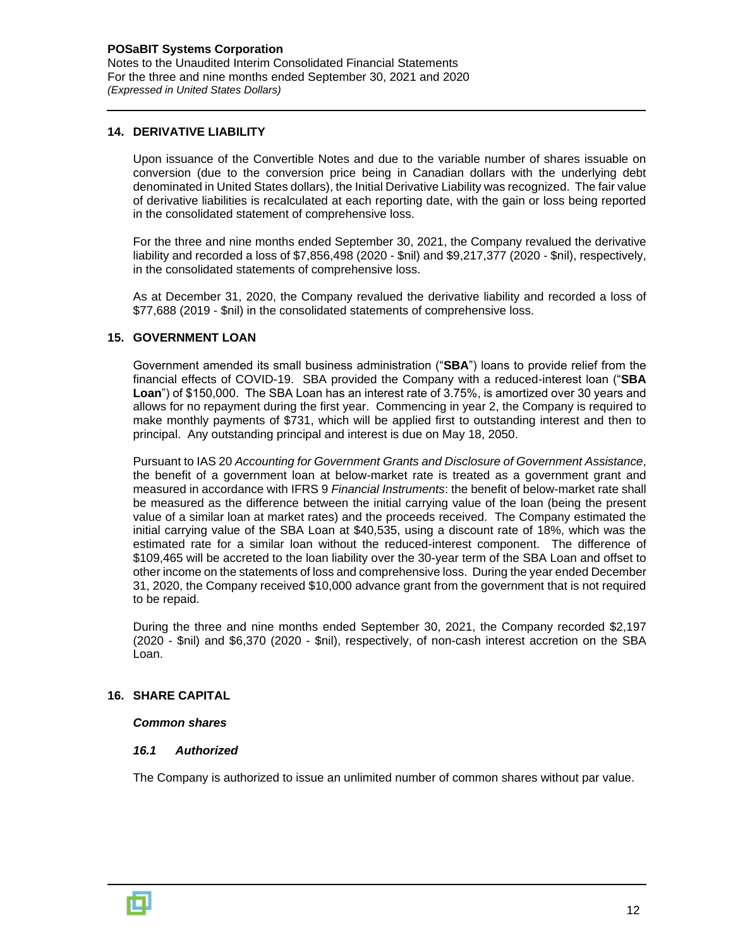#### **14. DERIVATIVE LIABILITY**

Upon issuance of the Convertible Notes and due to the variable number of shares issuable on conversion (due to the conversion price being in Canadian dollars with the underlying debt denominated in United States dollars), the Initial Derivative Liability was recognized. The fair value of derivative liabilities is recalculated at each reporting date, with the gain or loss being reported in the consolidated statement of comprehensive loss.

For the three and nine months ended September 30, 2021, the Company revalued the derivative liability and recorded a loss of \$7,856,498 (2020 - \$nil) and \$9,217,377 (2020 - \$nil), respectively, in the consolidated statements of comprehensive loss.

As at December 31, 2020, the Company revalued the derivative liability and recorded a loss of \$77,688 (2019 - \$nil) in the consolidated statements of comprehensive loss.

#### **15. GOVERNMENT LOAN**

Government amended its small business administration ("**SBA**") loans to provide relief from the financial effects of COVID-19. SBA provided the Company with a reduced-interest loan ("**SBA Loan**") of \$150,000. The SBA Loan has an interest rate of 3.75%, is amortized over 30 years and allows for no repayment during the first year. Commencing in year 2, the Company is required to make monthly payments of \$731, which will be applied first to outstanding interest and then to principal. Any outstanding principal and interest is due on May 18, 2050.

Pursuant to IAS 20 *Accounting for Government Grants and Disclosure of Government Assistance*, the benefit of a government loan at below-market rate is treated as a government grant and measured in accordance with IFRS 9 *Financial Instruments*: the benefit of below-market rate shall be measured as the difference between the initial carrying value of the loan (being the present value of a similar loan at market rates) and the proceeds received. The Company estimated the initial carrying value of the SBA Loan at \$40,535, using a discount rate of 18%, which was the estimated rate for a similar loan without the reduced-interest component. The difference of \$109,465 will be accreted to the loan liability over the 30-year term of the SBA Loan and offset to other income on the statements of loss and comprehensive loss. During the year ended December 31, 2020, the Company received \$10,000 advance grant from the government that is not required to be repaid.

During the three and nine months ended September 30, 2021, the Company recorded \$2,197 (2020 - \$nil) and \$6,370 (2020 - \$nil), respectively, of non-cash interest accretion on the SBA Loan.

#### **16. SHARE CAPITAL**

#### *Common shares*

#### *16.1 Authorized*

The Company is authorized to issue an unlimited number of common shares without par value.

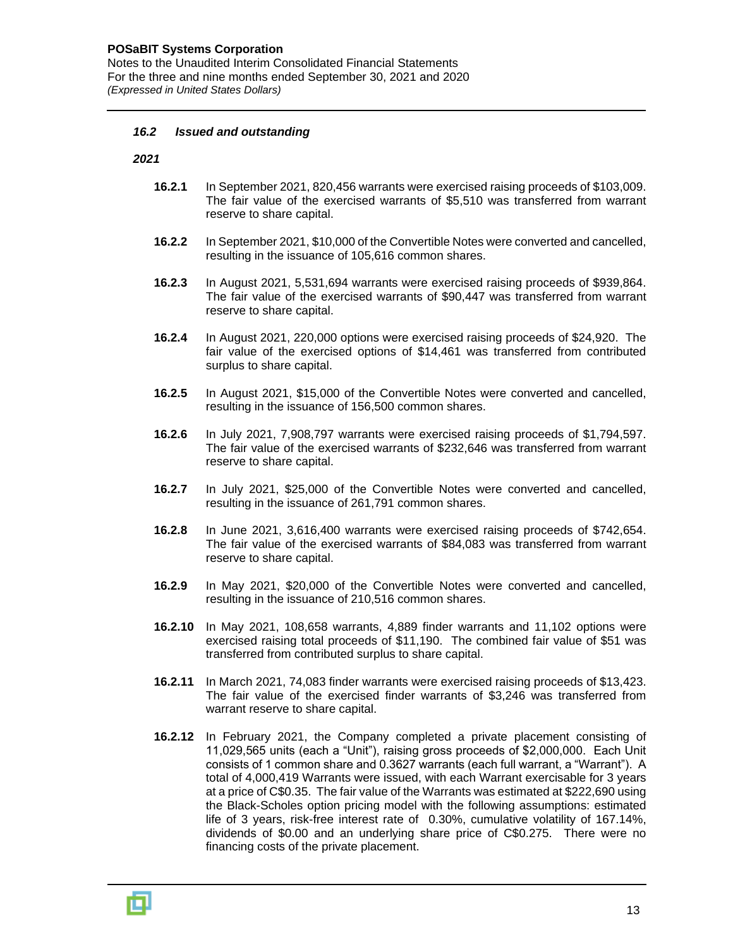Notes to the Unaudited Interim Consolidated Financial Statements For the three and nine months ended September 30, 2021 and 2020 *(Expressed in United States Dollars)*

#### *16.2 Issued and outstanding*

*2021*

- **16.2.1** In September 2021, 820,456 warrants were exercised raising proceeds of \$103,009. The fair value of the exercised warrants of \$5,510 was transferred from warrant reserve to share capital.
- **16.2.2** In September 2021, \$10,000 of the Convertible Notes were converted and cancelled, resulting in the issuance of 105,616 common shares.
- **16.2.3** In August 2021, 5,531,694 warrants were exercised raising proceeds of \$939,864. The fair value of the exercised warrants of \$90,447 was transferred from warrant reserve to share capital.
- **16.2.4** In August 2021, 220,000 options were exercised raising proceeds of \$24,920. The fair value of the exercised options of \$14,461 was transferred from contributed surplus to share capital.
- **16.2.5** In August 2021, \$15,000 of the Convertible Notes were converted and cancelled, resulting in the issuance of 156,500 common shares.
- **16.2.6** In July 2021, 7,908,797 warrants were exercised raising proceeds of \$1,794,597. The fair value of the exercised warrants of \$232,646 was transferred from warrant reserve to share capital.
- **16.2.7** In July 2021, \$25,000 of the Convertible Notes were converted and cancelled, resulting in the issuance of 261,791 common shares.
- **16.2.8** In June 2021, 3,616,400 warrants were exercised raising proceeds of \$742,654. The fair value of the exercised warrants of \$84,083 was transferred from warrant reserve to share capital.
- **16.2.9** In May 2021, \$20,000 of the Convertible Notes were converted and cancelled, resulting in the issuance of 210,516 common shares.
- **16.2.10** In May 2021, 108,658 warrants, 4,889 finder warrants and 11,102 options were exercised raising total proceeds of \$11,190. The combined fair value of \$51 was transferred from contributed surplus to share capital.
- **16.2.11** In March 2021, 74,083 finder warrants were exercised raising proceeds of \$13,423. The fair value of the exercised finder warrants of \$3,246 was transferred from warrant reserve to share capital.
- **16.2.12** In February 2021, the Company completed a private placement consisting of 11,029,565 units (each a "Unit"), raising gross proceeds of \$2,000,000. Each Unit consists of 1 common share and 0.3627 warrants (each full warrant, a "Warrant"). A total of 4,000,419 Warrants were issued, with each Warrant exercisable for 3 years at a price of C\$0.35. The fair value of the Warrants was estimated at \$222,690 using the Black-Scholes option pricing model with the following assumptions: estimated life of 3 years, risk-free interest rate of 0.30%, cumulative volatility of 167.14%, dividends of \$0.00 and an underlying share price of C\$0.275. There were no financing costs of the private placement.

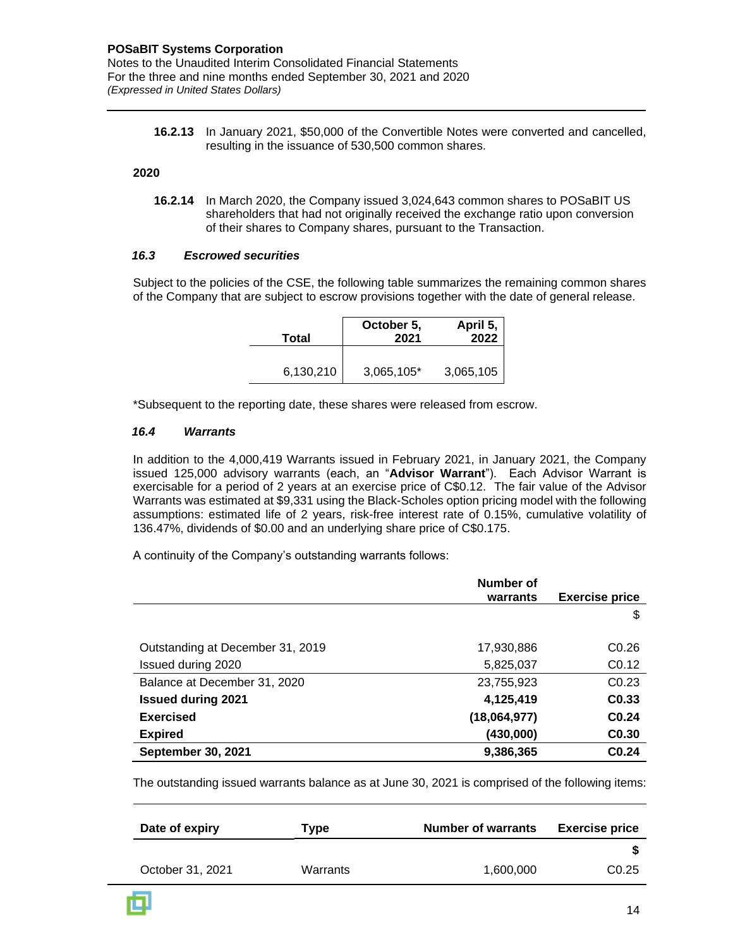**16.2.13** In January 2021, \$50,000 of the Convertible Notes were converted and cancelled, resulting in the issuance of 530,500 common shares.

#### **2020**

**16.2.14** In March 2020, the Company issued 3,024,643 common shares to POSaBIT US shareholders that had not originally received the exchange ratio upon conversion of their shares to Company shares, pursuant to the Transaction.

#### *16.3 Escrowed securities*

Subject to the policies of the CSE, the following table summarizes the remaining common shares of the Company that are subject to escrow provisions together with the date of general release.

| Total     | October 5,<br>2021 | April 5,<br>2022 |
|-----------|--------------------|------------------|
| 6,130,210 | 3,065,105*         | 3,065,105        |

\*Subsequent to the reporting date, these shares were released from escrow.

#### *16.4 Warrants*

In addition to the 4,000,419 Warrants issued in February 2021, in January 2021, the Company issued 125,000 advisory warrants (each, an "**Advisor Warrant**"). Each Advisor Warrant is exercisable for a period of 2 years at an exercise price of C\$0.12. The fair value of the Advisor Warrants was estimated at \$9,331 using the Black-Scholes option pricing model with the following assumptions: estimated life of 2 years, risk-free interest rate of 0.15%, cumulative volatility of 136.47%, dividends of \$0.00 and an underlying share price of C\$0.175.

A continuity of the Company's outstanding warrants follows:

|                                  | Number of    |                       |
|----------------------------------|--------------|-----------------------|
|                                  | warrants     | <b>Exercise price</b> |
|                                  |              | \$                    |
|                                  |              |                       |
| Outstanding at December 31, 2019 | 17,930,886   | C <sub>0.26</sub>     |
| Issued during 2020               | 5,825,037    | C <sub>0.12</sub>     |
| Balance at December 31, 2020     | 23,755,923   | C <sub>0.23</sub>     |
| <b>Issued during 2021</b>        | 4,125,419    | C <sub>0.33</sub>     |
| <b>Exercised</b>                 | (18,064,977) | C <sub>0.24</sub>     |
| <b>Expired</b>                   | (430,000)    | C <sub>0.30</sub>     |
| <b>September 30, 2021</b>        | 9,386,365    | C <sub>0.24</sub>     |

The outstanding issued warrants balance as at June 30, 2021 is comprised of the following items:

| Date of expiry   | Type     | <b>Number of warrants</b> | <b>Exercise price</b> |
|------------------|----------|---------------------------|-----------------------|
|                  |          |                           |                       |
| October 31, 2021 | Warrants | 1,600,000                 | C <sub>0.25</sub>     |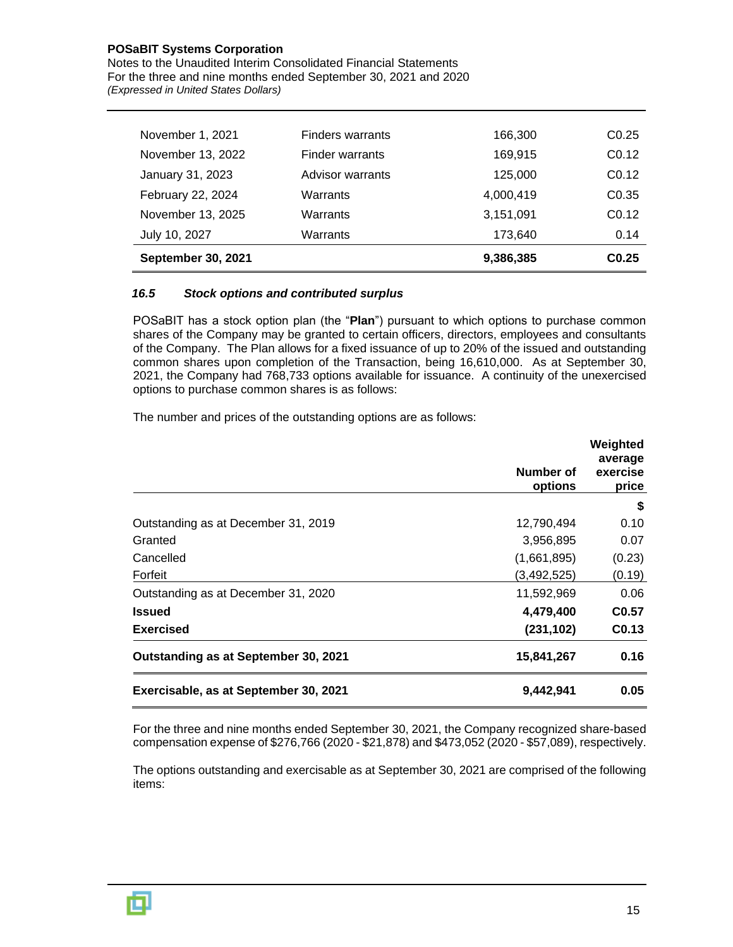Notes to the Unaudited Interim Consolidated Financial Statements For the three and nine months ended September 30, 2021 and 2020 *(Expressed in United States Dollars)*

| November 1, 2021          | Finders warrants | 166,300   | CO.25             |
|---------------------------|------------------|-----------|-------------------|
| November 13, 2022         | Finder warrants  | 169,915   | C <sub>0.12</sub> |
| January 31, 2023          | Advisor warrants | 125,000   | C <sub>0.12</sub> |
| February 22, 2024         | Warrants         | 4,000,419 | C <sub>0.35</sub> |
| November 13, 2025         | Warrants         | 3,151,091 | C <sub>0.12</sub> |
| July 10, 2027             | Warrants         | 173,640   | 0.14              |
| <b>September 30, 2021</b> |                  | 9,386,385 | CO.25             |

#### *16.5 Stock options and contributed surplus*

POSaBIT has a stock option plan (the "**Plan**") pursuant to which options to purchase common shares of the Company may be granted to certain officers, directors, employees and consultants of the Company. The Plan allows for a fixed issuance of up to 20% of the issued and outstanding common shares upon completion of the Transaction, being 16,610,000. As at September 30, 2021, the Company had 768,733 options available for issuance. A continuity of the unexercised options to purchase common shares is as follows:

The number and prices of the outstanding options are as follows:

|                                       | Number of<br>options | Weighted<br>average<br>exercise<br>price |
|---------------------------------------|----------------------|------------------------------------------|
|                                       |                      | S                                        |
| Outstanding as at December 31, 2019   | 12,790,494           | 0.10                                     |
| Granted                               | 3,956,895            | 0.07                                     |
| Cancelled                             | (1,661,895)          | (0.23)                                   |
| Forfeit                               | (3, 492, 525)        | (0.19)                                   |
| Outstanding as at December 31, 2020   | 11,592,969           | 0.06                                     |
| <b>Issued</b>                         | 4,479,400            | C <sub>0.57</sub>                        |
| <b>Exercised</b>                      | (231, 102)           | C <sub>0.13</sub>                        |
| Outstanding as at September 30, 2021  | 15,841,267           | 0.16                                     |
| Exercisable, as at September 30, 2021 | 9,442,941            | 0.05                                     |

For the three and nine months ended September 30, 2021, the Company recognized share-based compensation expense of \$276,766 (2020 - \$21,878) and \$473,052 (2020 - \$57,089), respectively.

The options outstanding and exercisable as at September 30, 2021 are comprised of the following items:

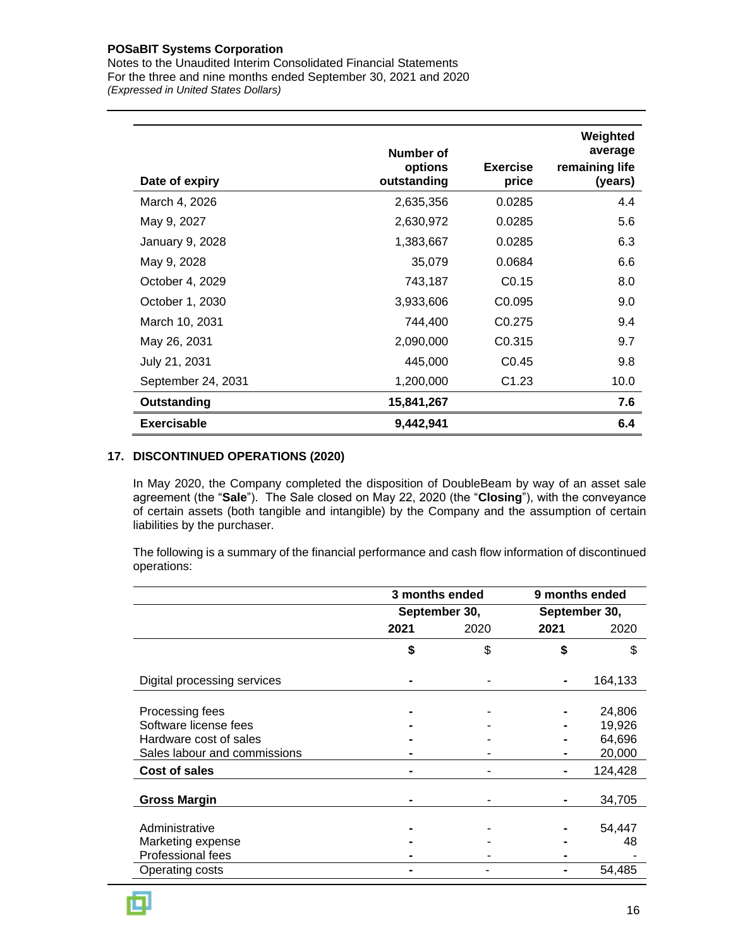Notes to the Unaudited Interim Consolidated Financial Statements For the three and nine months ended September 30, 2021 and 2020 *(Expressed in United States Dollars)*

| Date of expiry     | Number of<br>options<br>outstanding | <b>Exercise</b><br>price | Weighted<br>average<br>remaining life<br>(years) |
|--------------------|-------------------------------------|--------------------------|--------------------------------------------------|
| March 4, 2026      | 2,635,356                           | 0.0285                   | 4.4                                              |
| May 9, 2027        | 2,630,972                           | 0.0285                   | 5.6                                              |
| January 9, 2028    | 1,383,667                           | 0.0285                   | 6.3                                              |
| May 9, 2028        | 35,079                              | 0.0684                   | 6.6                                              |
| October 4, 2029    | 743,187                             | C <sub>0.15</sub>        | 8.0                                              |
| October 1, 2030    | 3,933,606                           | C <sub>0.095</sub>       | 9.0                                              |
| March 10, 2031     | 744,400                             | C <sub>0.275</sub>       | 9.4                                              |
| May 26, 2031       | 2,090,000                           | C0.315                   | 9.7                                              |
| July 21, 2031      | 445,000                             | CO.45                    | 9.8                                              |
| September 24, 2031 | 1,200,000                           | C <sub>1.23</sub>        | 10.0                                             |
| Outstanding        | 15,841,267                          |                          | 7.6                                              |
| <b>Exercisable</b> | 9,442,941                           |                          | 6.4                                              |

#### **17. DISCONTINUED OPERATIONS (2020)**

In May 2020, the Company completed the disposition of DoubleBeam by way of an asset sale agreement (the "**Sale**"). The Sale closed on May 22, 2020 (the "**Closing**"), with the conveyance of certain assets (both tangible and intangible) by the Company and the assumption of certain liabilities by the purchaser.

The following is a summary of the financial performance and cash flow information of discontinued operations:

|                              | 3 months ended |      | 9 months ended |               |
|------------------------------|----------------|------|----------------|---------------|
|                              | September 30,  |      |                | September 30, |
|                              | 2021           | 2020 | 2021           | 2020          |
|                              | \$             | \$   | \$             | \$            |
| Digital processing services  |                |      |                | 164,133       |
| Processing fees              |                |      |                | 24,806        |
| Software license fees        |                |      |                | 19,926        |
| Hardware cost of sales       |                |      |                | 64,696        |
| Sales labour and commissions |                |      |                | 20,000        |
| Cost of sales                |                |      |                | 124,428       |
| <b>Gross Margin</b>          |                |      |                | 34,705        |
| Administrative               |                |      |                | 54,447        |
| Marketing expense            |                |      |                | 48            |
| <b>Professional fees</b>     |                |      |                |               |
| Operating costs              |                |      |                | 54,485        |

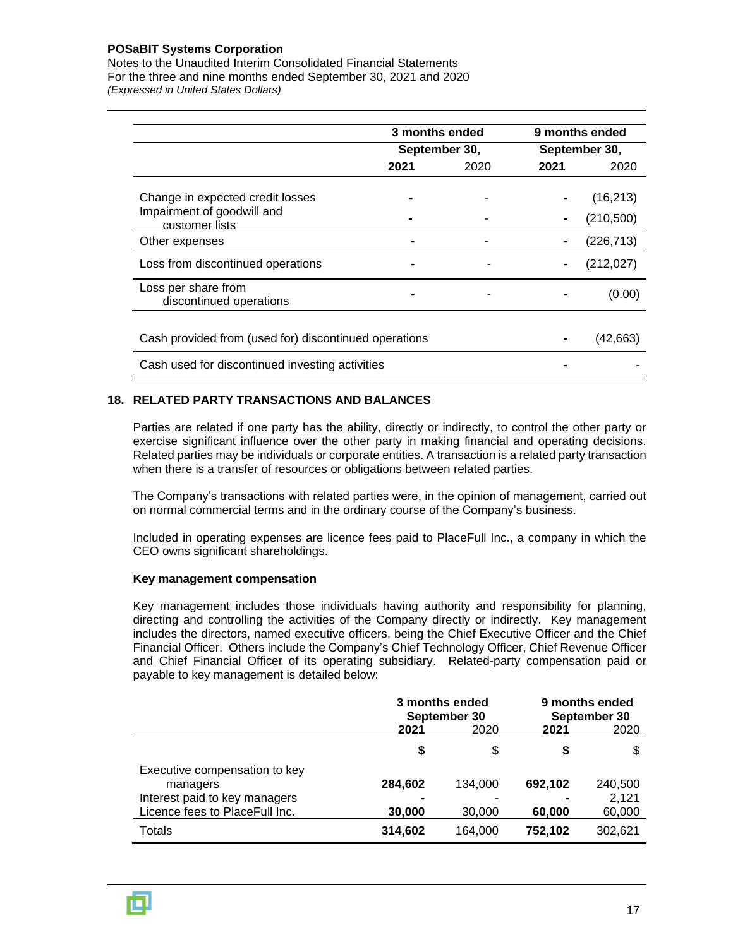Notes to the Unaudited Interim Consolidated Financial Statements For the three and nine months ended September 30, 2021 and 2020 *(Expressed in United States Dollars)*

|                                                                | 3 months ended |               | 9 months ended |                         |  |
|----------------------------------------------------------------|----------------|---------------|----------------|-------------------------|--|
|                                                                |                | September 30, |                | September 30,           |  |
|                                                                | 2021           | 2020          | 2021           | 2020                    |  |
| Change in expected credit losses<br>Impairment of goodwill and |                |               |                | (16, 213)<br>(210, 500) |  |
| customer lists<br>Other expenses                               |                |               |                | (226, 713)              |  |
| Loss from discontinued operations                              |                |               |                | (212, 027)              |  |
| Loss per share from<br>discontinued operations                 |                |               |                | (0.00)                  |  |
|                                                                |                |               |                |                         |  |
| Cash provided from (used for) discontinued operations          |                |               |                | (42,663)                |  |
| Cash used for discontinued investing activities                |                |               |                |                         |  |

#### **18. RELATED PARTY TRANSACTIONS AND BALANCES**

Parties are related if one party has the ability, directly or indirectly, to control the other party or exercise significant influence over the other party in making financial and operating decisions. Related parties may be individuals or corporate entities. A transaction is a related party transaction when there is a transfer of resources or obligations between related parties.

The Company's transactions with related parties were, in the opinion of management, carried out on normal commercial terms and in the ordinary course of the Company's business.

Included in operating expenses are licence fees paid to PlaceFull Inc., a company in which the CEO owns significant shareholdings.

#### **Key management compensation**

Key management includes those individuals having authority and responsibility for planning, directing and controlling the activities of the Company directly or indirectly. Key management includes the directors, named executive officers, being the Chief Executive Officer and the Chief Financial Officer. Others include the Company's Chief Technology Officer, Chief Revenue Officer and Chief Financial Officer of its operating subsidiary. Related-party compensation paid or payable to key management is detailed below:

|                                                                 | 3 months ended<br>September 30 |         | 9 months ended<br>September 30 |                 |
|-----------------------------------------------------------------|--------------------------------|---------|--------------------------------|-----------------|
|                                                                 | 2021                           | 2020    | 2021                           | 2020            |
|                                                                 | S                              | \$      | S                              |                 |
| Executive compensation to key<br>managers                       | 284,602                        | 134,000 | 692,102                        | 240,500         |
| Interest paid to key managers<br>Licence fees to PlaceFull Inc. | 30,000                         | 30,000  | 60,000                         | 2,121<br>60,000 |
| Totals                                                          | 314,602                        | 164.000 | 752,102                        | 302.621         |

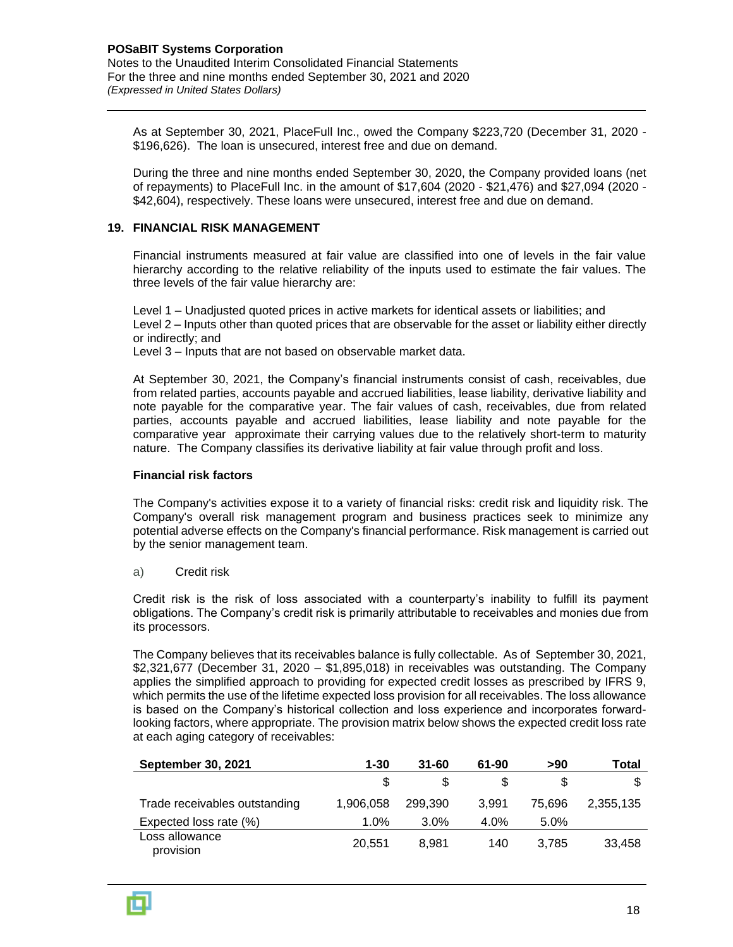As at September 30, 2021, PlaceFull Inc., owed the Company \$223,720 (December 31, 2020 - \$196,626). The loan is unsecured, interest free and due on demand.

During the three and nine months ended September 30, 2020, the Company provided loans (net of repayments) to PlaceFull Inc. in the amount of \$17,604 (2020 - \$21,476) and \$27,094 (2020 - \$42,604), respectively. These loans were unsecured, interest free and due on demand.

#### **19. FINANCIAL RISK MANAGEMENT**

Financial instruments measured at fair value are classified into one of levels in the fair value hierarchy according to the relative reliability of the inputs used to estimate the fair values. The three levels of the fair value hierarchy are:

Level 1 – Unadjusted quoted prices in active markets for identical assets or liabilities; and Level 2 – Inputs other than quoted prices that are observable for the asset or liability either directly or indirectly; and

Level 3 – Inputs that are not based on observable market data.

At September 30, 2021, the Company's financial instruments consist of cash, receivables, due from related parties, accounts payable and accrued liabilities, lease liability, derivative liability and note payable for the comparative year. The fair values of cash, receivables, due from related parties, accounts payable and accrued liabilities, lease liability and note payable for the comparative year approximate their carrying values due to the relatively short-term to maturity nature. The Company classifies its derivative liability at fair value through profit and loss.

#### **Financial risk factors**

The Company's activities expose it to a variety of financial risks: credit risk and liquidity risk. The Company's overall risk management program and business practices seek to minimize any potential adverse effects on the Company's financial performance. Risk management is carried out by the senior management team.

a) Credit risk

Credit risk is the risk of loss associated with a counterparty's inability to fulfill its payment obligations. The Company's credit risk is primarily attributable to receivables and monies due from its processors.

The Company believes that its receivables balance is fully collectable. As of September 30, 2021, \$2,321,677 (December 31, 2020 – \$1,895,018) in receivables was outstanding. The Company applies the simplified approach to providing for expected credit losses as prescribed by IFRS 9, which permits the use of the lifetime expected loss provision for all receivables. The loss allowance is based on the Company's historical collection and loss experience and incorporates forwardlooking factors, where appropriate. The provision matrix below shows the expected credit loss rate at each aging category of receivables:

| <b>September 30, 2021</b>     | $1 - 30$  | $31 - 60$ | 61-90   | >90    | Total     |
|-------------------------------|-----------|-----------|---------|--------|-----------|
|                               |           |           |         |        |           |
| Trade receivables outstanding | 1.906.058 | 299.390   | 3.991   | 75.696 | 2,355,135 |
| Expected loss rate (%)        | $1.0\%$   | 3.0%      | $4.0\%$ | 5.0%   |           |
| Loss allowance<br>provision   | 20.551    | 8.981     | 140     | 3.785  | 33,458    |

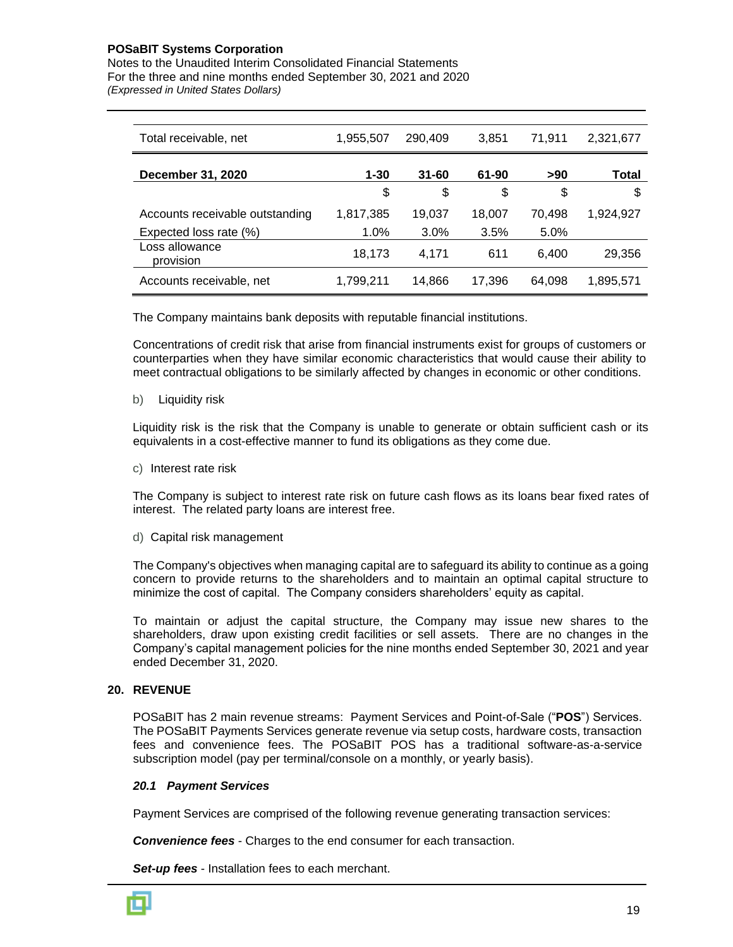Notes to the Unaudited Interim Consolidated Financial Statements For the three and nine months ended September 30, 2021 and 2020 *(Expressed in United States Dollars)*

| Total receivable, net           | 1,955,507 | 290,409   | 3.851  | 71,911 | 2,321,677 |
|---------------------------------|-----------|-----------|--------|--------|-----------|
| December 31, 2020               | $1 - 30$  | $31 - 60$ | 61-90  | >90    | Total     |
|                                 | \$        | \$        | \$     | \$     | S         |
| Accounts receivable outstanding | 1,817,385 | 19,037    | 18.007 | 70.498 | 1,924,927 |
| Expected loss rate (%)          | 1.0%      | 3.0%      | 3.5%   | 5.0%   |           |
| Loss allowance<br>provision     | 18,173    | 4.171     | 611    | 6.400  | 29,356    |
| Accounts receivable, net        | 1,799,211 | 14.866    | 17,396 | 64.098 | 1,895,571 |

The Company maintains bank deposits with reputable financial institutions.

Concentrations of credit risk that arise from financial instruments exist for groups of customers or counterparties when they have similar economic characteristics that would cause their ability to meet contractual obligations to be similarly affected by changes in economic or other conditions.

b) Liquidity risk

Liquidity risk is the risk that the Company is unable to generate or obtain sufficient cash or its equivalents in a cost-effective manner to fund its obligations as they come due.

c) Interest rate risk

The Company is subject to interest rate risk on future cash flows as its loans bear fixed rates of interest. The related party loans are interest free.

d) Capital risk management

The Company's objectives when managing capital are to safeguard its ability to continue as a going concern to provide returns to the shareholders and to maintain an optimal capital structure to minimize the cost of capital. The Company considers shareholders' equity as capital.

To maintain or adjust the capital structure, the Company may issue new shares to the shareholders, draw upon existing credit facilities or sell assets. There are no changes in the Company's capital management policies for the nine months ended September 30, 2021 and year ended December 31, 2020.

#### **20. REVENUE**

POSaBIT has 2 main revenue streams: Payment Services and Point-of-Sale ("**POS**") Services. The POSaBIT Payments Services generate revenue via setup costs, hardware costs, transaction fees and convenience fees. The POSaBIT POS has a traditional software-as-a-service subscription model (pay per terminal/console on a monthly, or yearly basis).

#### *20.1 Payment Services*

Payment Services are comprised of the following revenue generating transaction services:

*Convenience fees* - Charges to the end consumer for each transaction.

*Set-up fees* - Installation fees to each merchant.

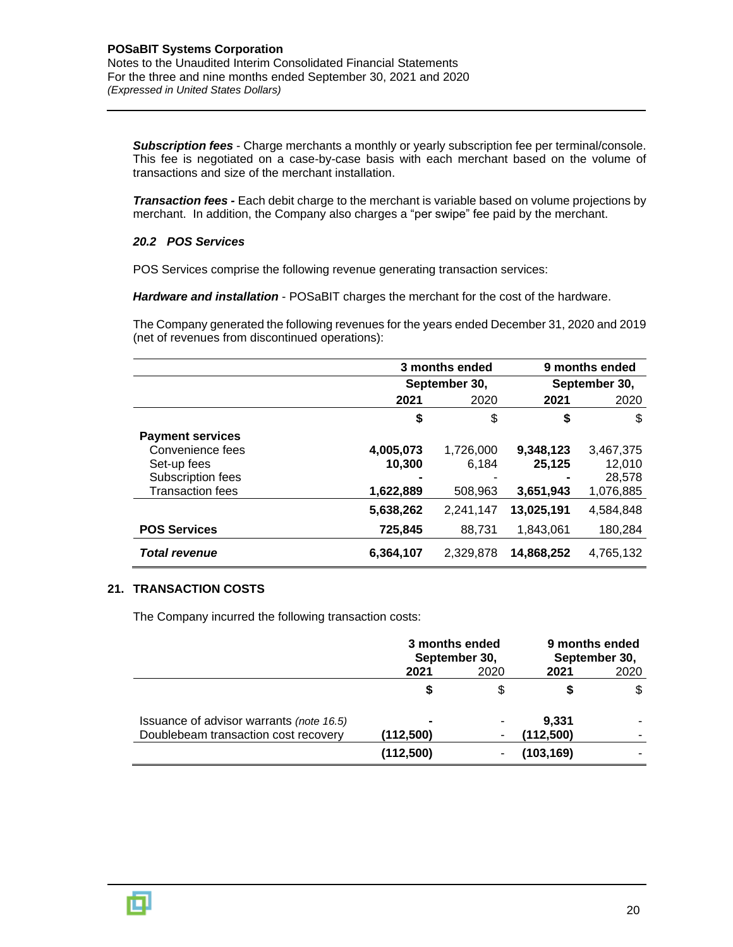*Subscription fees* - Charge merchants a monthly or yearly subscription fee per terminal/console. This fee is negotiated on a case-by-case basis with each merchant based on the volume of transactions and size of the merchant installation.

*Transaction fees -* Each debit charge to the merchant is variable based on volume projections by merchant. In addition, the Company also charges a "per swipe" fee paid by the merchant.

#### *20.2 POS Services*

POS Services comprise the following revenue generating transaction services:

*Hardware and installation* - POSaBIT charges the merchant for the cost of the hardware.

The Company generated the following revenues for the years ended December 31, 2020 and 2019 (net of revenues from discontinued operations):

|                                                                                                            | 3 months ended                   |                               |                                  | 9 months ended                             |  |
|------------------------------------------------------------------------------------------------------------|----------------------------------|-------------------------------|----------------------------------|--------------------------------------------|--|
|                                                                                                            | September 30,                    |                               | September 30,                    |                                            |  |
|                                                                                                            | 2021                             | 2020                          | 2021                             | 2020                                       |  |
|                                                                                                            | \$                               | \$                            | \$                               | \$                                         |  |
| <b>Payment services</b><br>Convenience fees<br>Set-up fees<br>Subscription fees<br><b>Transaction fees</b> | 4,005,073<br>10.300<br>1,622,889 | 1,726,000<br>6.184<br>508,963 | 9,348,123<br>25,125<br>3,651,943 | 3,467,375<br>12,010<br>28,578<br>1,076,885 |  |
|                                                                                                            | 5,638,262                        | 2,241,147                     | 13,025,191                       | 4,584,848                                  |  |
| <b>POS Services</b>                                                                                        | 725,845                          | 88,731                        | 1,843,061                        | 180,284                                    |  |
| <b>Total revenue</b>                                                                                       | 6,364,107                        | 2.329.878                     | 14,868,252                       | 4,765,132                                  |  |

#### **21. TRANSACTION COSTS**

The Company incurred the following transaction costs:

|                                          | 3 months ended<br>September 30, |      | 9 months ended<br>September 30, |      |
|------------------------------------------|---------------------------------|------|---------------------------------|------|
|                                          | 2021                            | 2020 | 2021                            | 2020 |
|                                          |                                 | S    |                                 | \$   |
| Issuance of advisor warrants (note 16.5) | $\blacksquare$                  |      | 9,331                           |      |
| Doublebeam transaction cost recovery     | (112,500)                       |      | (112,500)                       |      |
|                                          | (112,500)                       |      | (103, 169)                      |      |

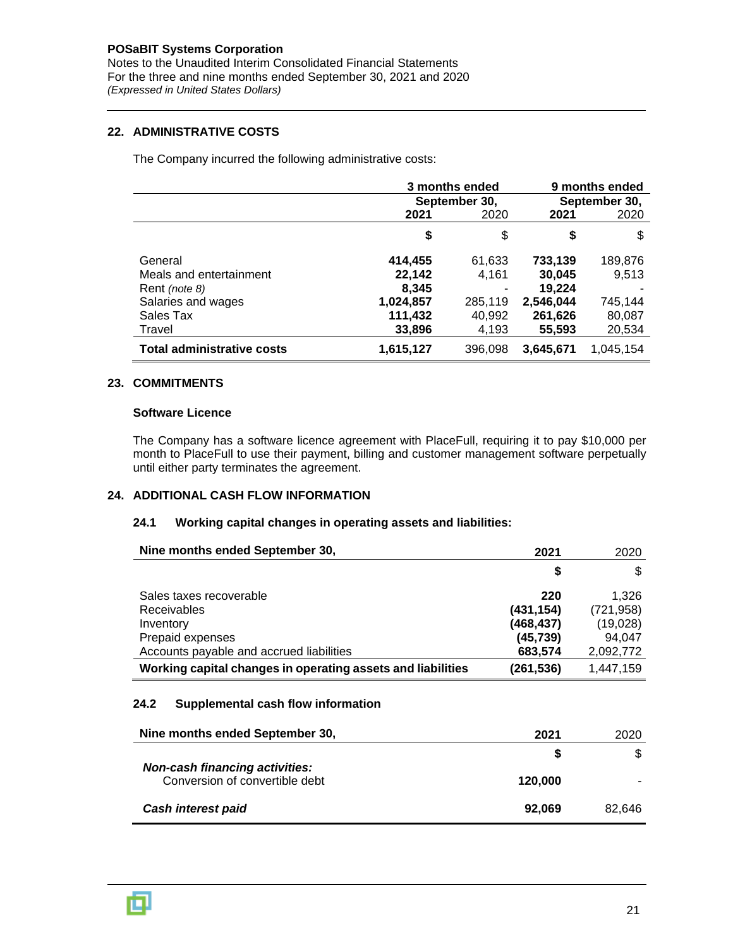Notes to the Unaudited Interim Consolidated Financial Statements For the three and nine months ended September 30, 2021 and 2020 *(Expressed in United States Dollars)*

### **22. ADMINISTRATIVE COSTS**

The Company incurred the following administrative costs:

|                                   | 3 months ended |         | 9 months ended |           |
|-----------------------------------|----------------|---------|----------------|-----------|
|                                   | September 30,  |         | September 30,  |           |
|                                   | 2021           | 2020    | 2021           | 2020      |
|                                   | \$             | \$      | \$             | \$        |
| General                           | 414,455        | 61,633  | 733,139        | 189,876   |
| Meals and entertainment           | 22,142         | 4,161   | 30,045         | 9,513     |
| Rent (note 8)                     | 8,345          |         | 19,224         |           |
| Salaries and wages                | 1,024,857      | 285,119 | 2,546,044      | 745,144   |
| Sales Tax                         | 111,432        | 40,992  | 261,626        | 80,087    |
| Travel                            | 33,896         | 4,193   | 55,593         | 20,534    |
| <b>Total administrative costs</b> | 1,615,127      | 396,098 | 3,645,671      | 1,045,154 |

#### **23. COMMITMENTS**

#### **Software Licence**

The Company has a software licence agreement with PlaceFull, requiring it to pay \$10,000 per month to PlaceFull to use their payment, billing and customer management software perpetually until either party terminates the agreement.

#### **24. ADDITIONAL CASH FLOW INFORMATION**

#### **24.1 Working capital changes in operating assets and liabilities:**

| Nine months ended September 30,                                                                                            | 2021                                                   | 2020                                                   |
|----------------------------------------------------------------------------------------------------------------------------|--------------------------------------------------------|--------------------------------------------------------|
|                                                                                                                            | S                                                      | \$                                                     |
| Sales taxes recoverable<br><b>Receivables</b><br>Inventory<br>Prepaid expenses<br>Accounts payable and accrued liabilities | 220<br>(431, 154)<br>(468,437)<br>(45, 739)<br>683,574 | 1.326<br>(721, 958)<br>(19,028)<br>94.047<br>2,092,772 |
| Working capital changes in operating assets and liabilities                                                                | (261,536)                                              | 1,447,159                                              |

#### **24.2 Supplemental cash flow information**

| Nine months ended September 30,                                         | 2021    | 2020   |
|-------------------------------------------------------------------------|---------|--------|
| <b>Non-cash financing activities:</b><br>Conversion of convertible debt | S       | \$.    |
|                                                                         | 120,000 |        |
| Cash interest paid                                                      | 92.069  | 82.646 |